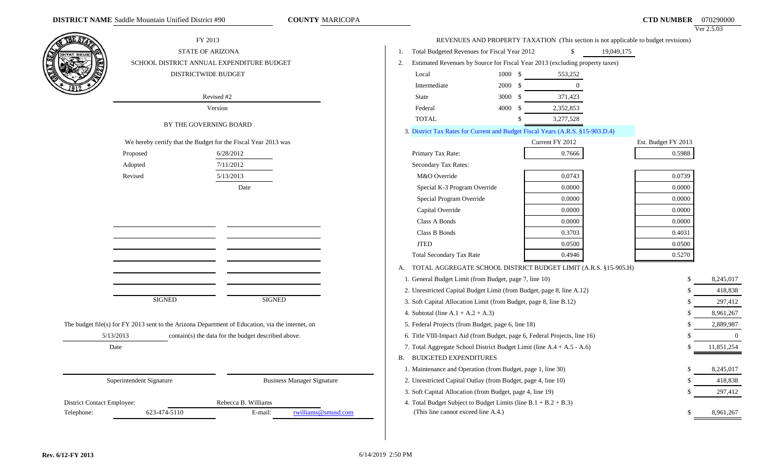|                            |                          | FY 2013                                                                                          |                                                                                |                    |                                                                              | REVENUES AND PROPERTY TAXATION (This section is not applicable to budget revisions) |        | $VCI$ 2.3.03   |
|----------------------------|--------------------------|--------------------------------------------------------------------------------------------------|--------------------------------------------------------------------------------|--------------------|------------------------------------------------------------------------------|-------------------------------------------------------------------------------------|--------|----------------|
|                            |                          |                                                                                                  |                                                                                |                    | \$                                                                           |                                                                                     |        |                |
|                            |                          | STATE OF ARIZONA                                                                                 | Total Budgeted Revenues for Fiscal Year 2012                                   |                    |                                                                              | 19,049,175                                                                          |        |                |
|                            |                          | SCHOOL DISTRICT ANNUAL EXPENDITURE BUDGET                                                        | 2.                                                                             |                    | Estimated Revenues by Source for Fiscal Year 2013 (excluding property taxes) |                                                                                     |        |                |
|                            |                          | DISTRICTWIDE BUDGET                                                                              | Local                                                                          | 1000 \$            | 553,252                                                                      |                                                                                     |        |                |
|                            |                          |                                                                                                  | Intermediate                                                                   | 2000 \$            | $\overline{0}$                                                               |                                                                                     |        |                |
|                            |                          | Revised #2                                                                                       | State                                                                          | $3000 \text{ }$ \$ | 371,423                                                                      |                                                                                     |        |                |
|                            |                          | Version                                                                                          | Federal                                                                        | 4000 \$            | 2,352,853                                                                    |                                                                                     |        |                |
|                            |                          | BY THE GOVERNING BOARD                                                                           | <b>TOTAL</b>                                                                   |                    | 3,277,528                                                                    |                                                                                     |        |                |
|                            |                          |                                                                                                  | 3. District Tax Rates for Current and Budget Fiscal Years (A.R.S. §15-903.D.4) |                    |                                                                              |                                                                                     |        |                |
|                            |                          | We hereby certify that the Budget for the Fiscal Year 2013 was                                   |                                                                                |                    | Current FY 2012                                                              | Est. Budget FY 2013                                                                 |        |                |
|                            | Proposed                 | 6/28/2012                                                                                        | Primary Tax Rate:                                                              |                    | 0.7666                                                                       |                                                                                     | 0.5988 |                |
|                            | Adopted                  | 7/11/2012                                                                                        | Secondary Tax Rates:                                                           |                    |                                                                              |                                                                                     |        |                |
|                            | Revised                  | 5/13/2013                                                                                        | M&O Override                                                                   |                    | 0.0743                                                                       |                                                                                     | 0.0739 |                |
|                            |                          | Date                                                                                             | Special K-3 Program Override                                                   |                    | 0.0000                                                                       |                                                                                     | 0.0000 |                |
|                            |                          |                                                                                                  | Special Program Override                                                       |                    | 0.0000                                                                       |                                                                                     | 0.0000 |                |
|                            |                          |                                                                                                  | Capital Override                                                               |                    | 0.0000                                                                       |                                                                                     | 0.0000 |                |
|                            |                          |                                                                                                  | Class A Bonds                                                                  |                    | 0.0000                                                                       |                                                                                     | 0.0000 |                |
|                            |                          |                                                                                                  | Class B Bonds                                                                  |                    | 0.3703                                                                       |                                                                                     | 0.4031 |                |
|                            |                          |                                                                                                  | <b>JTED</b>                                                                    |                    | 0.0500                                                                       |                                                                                     | 0.0500 |                |
|                            |                          |                                                                                                  | <b>Total Secondary Tax Rate</b>                                                |                    | 0.4946                                                                       |                                                                                     | 0.5270 |                |
|                            |                          |                                                                                                  | A. TOTAL AGGREGATE SCHOOL DISTRICT BUDGET LIMIT (A.R.S. §15-905.H)             |                    |                                                                              |                                                                                     |        |                |
|                            |                          |                                                                                                  | 1. General Budget Limit (from Budget, page 7, line 10)                         |                    |                                                                              |                                                                                     | -\$    | 8,245,017      |
|                            |                          |                                                                                                  | 2. Unrestricted Capital Budget Limit (from Budget, page 8, line A.12)          |                    |                                                                              |                                                                                     | -\$    | 418,838        |
|                            | <b>SIGNED</b>            | <b>SIGNED</b>                                                                                    | 3. Soft Capital Allocation Limit (from Budget, page 8, line B.12)              |                    |                                                                              |                                                                                     | \$.    | 297,412        |
|                            |                          |                                                                                                  | 4. Subtotal (line $A.1 + A.2 + A.3$ )                                          |                    |                                                                              |                                                                                     |        | 8,961,267      |
|                            |                          | The budget file(s) for FY 2013 sent to the Arizona Department of Education, via the internet, on | 5. Federal Projects (from Budget, page 6, line 18)                             |                    |                                                                              |                                                                                     |        | 2,889,987      |
|                            | 5/13/2013                | contain(s) the data for the budget described above.                                              | 6. Title VIII-Impact Aid (from Budget, page 6, Federal Projects, line 16)      |                    |                                                                              |                                                                                     |        | $\overline{0}$ |
|                            | Date                     |                                                                                                  | 7. Total Aggregate School District Budget Limit (line A.4 + A.5 - A.6)         |                    |                                                                              |                                                                                     | £.     | 11,851,254     |
|                            |                          |                                                                                                  | <b>B. BUDGETED EXPENDITURES</b>                                                |                    |                                                                              |                                                                                     |        |                |
|                            |                          |                                                                                                  | 1. Maintenance and Operation (from Budget, page 1, line 30)                    |                    |                                                                              |                                                                                     |        | 8,245,017      |
|                            | Superintendent Signature | <b>Business Manager Signature</b>                                                                | 2. Unrestricted Capital Outlay (from Budget, page 4, line 10)                  |                    |                                                                              |                                                                                     | \$.    | 418,838        |
|                            |                          |                                                                                                  | 3. Soft Capital Allocation (from Budget, page 4, line 19)                      |                    |                                                                              |                                                                                     |        | 297,412        |
| District Contact Employee: |                          | Rebecca B. Williams                                                                              | 4. Total Budget Subject to Budget Limits (line $B.1 + B.2 + B.3$ )             |                    |                                                                              |                                                                                     |        |                |
| Telephone:                 | 623-474-5110             | E-mail:<br>rwilliams@smusd.com                                                                   | (This line cannot exceed line A.4.)                                            |                    |                                                                              |                                                                                     |        | 8,961,267      |
|                            |                          |                                                                                                  |                                                                                |                    |                                                                              |                                                                                     |        |                |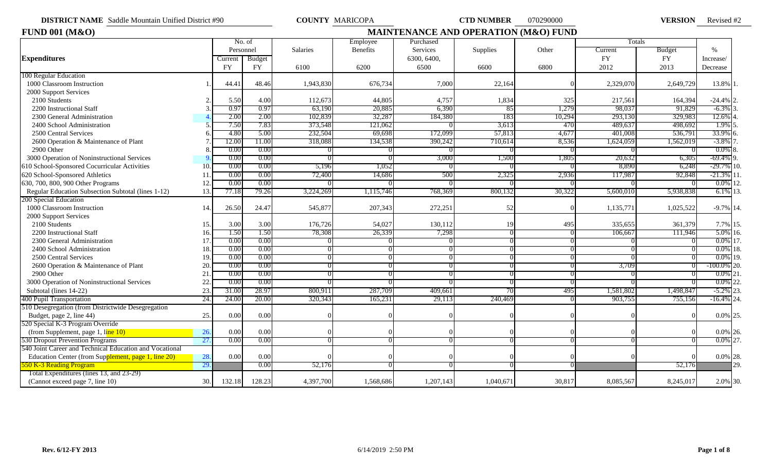**DISTRICT NAME** Saddle Mountain Unified District #90 **COUNTY MARICOPA CTD NUMBER** 070290000 **VERSION** 

VERSION Revised #2

| <b>FUND 001 (M&amp;O)</b>                               |                |           |                   |           | <b>MAINTENANCE AND OPERATION (M&amp;O) FUND</b> |             |           |        |           |               |                 |  |  |
|---------------------------------------------------------|----------------|-----------|-------------------|-----------|-------------------------------------------------|-------------|-----------|--------|-----------|---------------|-----------------|--|--|
|                                                         |                |           | No. of            |           | Employee                                        | Purchased   |           |        | Totals    |               |                 |  |  |
|                                                         |                | Personnel |                   | Salaries  | Benefits                                        | Services    | Supplies  | Other  | Current   | <b>Budget</b> | $\%$            |  |  |
| <b>Expenditures</b>                                     |                | Current   | Budget            |           |                                                 | 6300, 6400, |           |        | <b>FY</b> | <b>FY</b>     | Increase/       |  |  |
|                                                         |                | <b>FY</b> | <b>FY</b>         | 6100      | 6200                                            | 6500        | 6600      | 6800   | 2012      | 2013          | Decrease        |  |  |
| 100 Regular Education                                   |                |           |                   |           |                                                 |             |           |        |           |               |                 |  |  |
| 1000 Classroom Instruction                              |                | 44.41     | 48.46             | 1,943,830 | 676,734                                         | 7,000       | 22,164    |        | 2,329,070 | 2,649,729     | 13.8% 1.        |  |  |
| 2000 Support Services                                   |                |           |                   |           |                                                 |             |           |        |           |               |                 |  |  |
| 2100 Students                                           |                | 5.50      | 4.00              | 112,673   | 44,805                                          | 4,757       | 1,834     | 325    | 217,561   | 164,394       | $-24.4%$        |  |  |
| 2200 Instructional Staff                                |                | 0.97      | 0.97              | 63,190    | 20,885                                          | 6,390       | -85       | 1,279  | 98,037    | 91,829        | $-6.3\%$        |  |  |
| 2300 General Administration                             |                | 2.00      | 2.00              | 102,839   | 32,287                                          | 184,380     | 183       | 10,294 | 293,130   | 329,983       | 12.6%           |  |  |
| 2400 School Administration                              |                | 7.50      | 7.83              | 373,548   | 121,062                                         |             | 3,613     | 470    | 489,63    | 498,692       | 1.9%            |  |  |
| 2500 Central Services                                   |                | 4.80      | 5.00              | 232,504   | 69,698                                          | 172,099     | 57,813    | 4,677  | 401,008   | 536,791       | 33.9%           |  |  |
| 2600 Operation & Maintenance of Plant                   |                | 12.00     | 11.00             | 318,088   | 134,538                                         | 390,242     | 710,614   | 8,536  | 1,624,059 | 1,562,019     | $-3.8\%$        |  |  |
| 2900 Other                                              |                | 0.00      | 0.00              |           |                                                 |             |           |        |           |               | 0.0%            |  |  |
| 3000 Operation of Noninstructional Services             |                | 0.00      | 0.00              |           |                                                 | 3,000       | 1,500     | 1,805  | 20,632    | 6,305         | $-69.4%$<br>19. |  |  |
| 610 School-Sponsored Cocurricular Activities            | 10             | 0.00      | 0.00              | 5,196     | 1,052                                           |             |           |        | 8,890     | 6,248         | $-29.7\%$ 10.   |  |  |
| 620 School-Sponsored Athletics                          | 11             | 0.00      | 0.00              | 72,400    | 14,686                                          | 500         | 2,325     | 2,936  | 117,98    | 92,848        | $-21.3\%$ 11.   |  |  |
| 630, 700, 800, 900 Other Programs                       | 12             | 0.00      | 0.00              |           |                                                 |             |           |        |           |               | $0.0\%$ 12.     |  |  |
| Regular Education Subsection Subtotal (lines 1-12)      | 13.            | 77.18     | 79.26             | 3,224,269 | 1,115,746                                       | 768.369     | 800,132   | 30,322 | 5,600,010 | 5,938,838     | $6.1\%$ 13.     |  |  |
| 200 Special Education                                   |                |           |                   |           |                                                 |             |           |        |           |               |                 |  |  |
| 1000 Classroom Instruction                              | 14             | 26.50     | 24.47             | 545,877   | 207,343                                         | 272,251     | 52        |        | 1,135,771 | 1,025,522     | $-9.7\%$ 14.    |  |  |
| 2000 Support Services                                   |                |           |                   |           |                                                 |             |           |        |           |               |                 |  |  |
| 2100 Students                                           | 15.            | 3.00      | 3.00              | 176,726   | 54,027                                          | 130,112     | 19        | 495    | 335,655   | 361,379       | 7.7% 15.        |  |  |
| 2200 Instructional Staff                                | 16.            | 1.50      | 1.50              | 78,308    | 26,339                                          | 7,298       |           |        | 106,667   | 111,946       | $5.0\%$ 16.     |  |  |
| 2300 General Administration                             | 17             | 0.00      | 0.00              |           |                                                 |             |           |        |           |               | $0.0\%$ 17.     |  |  |
| 2400 School Administration                              | 18             | 0.00      | 0.00              |           |                                                 |             |           |        |           |               | $0.0\%$ 18.     |  |  |
| 2500 Central Services                                   | 19             | 0.00      | 0.00              |           |                                                 |             |           |        |           |               | $0.0\%$ 19.     |  |  |
| 2600 Operation & Maintenance of Plant                   | 20             | $0.00\,$  | 0.00              |           |                                                 |             |           |        | 3,709     |               | $100.0\%$ 20.   |  |  |
| 2900 Other                                              | 21             | 0.00      | 0.00              |           |                                                 |             |           |        |           |               | $0.0\%$ 21      |  |  |
| 3000 Operation of Noninstructional Services             | 22             | 0.00      | 0.00              |           |                                                 |             |           |        |           |               | $0.0\%$<br>22.  |  |  |
| Subtotal (lines 14-22)                                  | 23.            | 31.00     | $28.9^{^{\circ}}$ | 800,91    | 287,709                                         | 409,661     |           | 495    | 1,581,802 | 1,498,847     | $-5.2\%$ 23.    |  |  |
| 400 Pupil Transportation                                | 24.            | 24.00     | 20.00             | 320,343   | 165,231                                         | 29,113      | 240,469   |        | 903,75.   | 755,156       | $-16.4\%$ 24.   |  |  |
| 510 Desegregation (from Districtwide Desegregation      |                |           |                   |           |                                                 |             |           |        |           |               |                 |  |  |
| Budget, page 2, line 44)                                | 25.            | 0.00      | 0.00              |           |                                                 |             |           |        |           |               | 0.0% 25.        |  |  |
| 520 Special K-3 Program Override                        |                |           |                   |           |                                                 |             |           |        |           |               |                 |  |  |
| (from Supplement, page 1, line 10)                      | 26.            | 0.00      | 0.00              |           |                                                 |             |           |        |           |               | $0.0\%$ 26.     |  |  |
| 530 Dropout Prevention Programs                         | 27.            | 0.00      | 0.00              |           |                                                 |             |           |        |           |               | $0.0\%$ 27.     |  |  |
| 540 Joint Career and Technical Education and Vocational |                |           |                   |           |                                                 |             |           |        |           |               |                 |  |  |
| Education Center (from Supplement, page 1, line 20)     | 28.            | 0.00      | 0.00              |           |                                                 |             |           |        |           |               | $0.0\%$ 28.     |  |  |
| 50 K-3 Reading Program                                  | <sup>29.</sup> |           | 0.00              | 52,176    |                                                 |             |           |        |           | 52,176        | 29.             |  |  |
| Total Expenditures (lines 13, and 23-29)                |                |           |                   |           |                                                 |             |           |        |           |               |                 |  |  |
| (Cannot exceed page 7, line 10)                         | 30.            | 132.18    | 128.23            | 4,397,700 | 1,568,686                                       | 1,207,143   | 1,040,671 | 30,817 | 8,085,567 | 8,245,017     | 2.0% 30.        |  |  |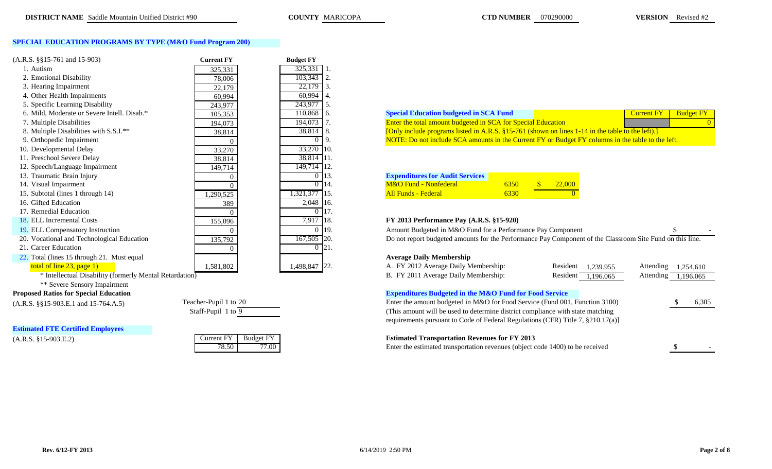## **SPECIAL EDUCATION PROGRAMS BY TYPE (M&O Fund Program 200)**

| $(A.R.S. \$ §15-761 and 15-903)             | <b>Current FY</b> | <b>Budget FY</b> |                                                                                                           |                                      |
|---------------------------------------------|-------------------|------------------|-----------------------------------------------------------------------------------------------------------|--------------------------------------|
| 1. Autism                                   | 325,331           | 325,331          |                                                                                                           |                                      |
| 2. Emotional Disability                     | 78,006            | 103,343          |                                                                                                           |                                      |
| 3. Hearing Impairment                       | 22,179            | 22,179<br>3      |                                                                                                           |                                      |
| 4. Other Health Impairments                 | 60,994            | 60,994           |                                                                                                           |                                      |
| 5. Specific Learning Disability             | 243,977           | 243,977<br>.5.   |                                                                                                           |                                      |
| 6. Mild, Moderate or Severe Intell. Disab.* | 105,353           | 110,868<br>-6.   | <b>Special Education budgeted in SCA Fund</b>                                                             | <b>Budget</b> l<br><b>Current FY</b> |
| 7. Multiple Disabilities                    | 194,073           | 194,073          | Enter the total amount budgeted in SCA for Special Education                                              |                                      |
| 8. Multiple Disabilities with S.S.I.**      | 38,814            | 38,814<br>8.     | [Only include programs listed in A.R.S. §15-761 (shown on lines 1-14 in the table to the left).]          |                                      |
| 9. Orthopedic Impairment                    |                   |                  | NOTE: Do not include SCA amounts in the Current FY or Budget FY columns in the table to the left.         |                                      |
| 10. Developmental Delay                     | 33,270            | 33,270 10.       |                                                                                                           |                                      |
| 11. Preschool Severe Delay                  | 38,814            | 38,814 11.       |                                                                                                           |                                      |
| 12. Speech/Language Impairment              | 149,714           | 149,714 12.      |                                                                                                           |                                      |
| 13. Traumatic Brain Injury                  |                   | 13.              | <b>Expenditures for Audit Services</b>                                                                    |                                      |
| 14. Visual Impairment                       |                   | 0 14.            | M&O Fund - Nonfederal<br>$\mathbf{\$}$<br>22,000<br>6350                                                  |                                      |
| 15. Subtotal (lines 1 through 14)           | 1,290,525         | 1,321,377 15.    | <b>All Funds - Federal</b><br>6330                                                                        |                                      |
| 16. Gifted Education                        | 389               | 2,048 16.        |                                                                                                           |                                      |
| 17. Remedial Education                      |                   |                  |                                                                                                           |                                      |
| 18. ELL Incremental Costs                   | 155,096           | 7,917 18.        | FY 2013 Performance Pay (A.R.S. §15-920)                                                                  |                                      |
| 19. ELL Compensatory Instruction            |                   | $0\,19.$         | Amount Budgeted in M&O Fund for a Performance Pay Component                                               |                                      |
| 20. Vocational and Technological Education  | 135,792           | 167,505 20.      | Do not report budgeted amounts for the Performance Pay Component of the Classroom Site Fund on this line. |                                      |
| 21. Career Education                        |                   | $0\,$ 21.        |                                                                                                           |                                      |
| 22. Total (lines 15 through 21. Must equal  |                   |                  | <b>Average Daily Membership</b>                                                                           |                                      |
| total of line $23$ , page 1)                | 1,581,802         | 1,498,847 22.    | A. FY 2012 Average Daily Membership:<br>Resident                                                          | Attending<br>1.239.955<br>1,254.61   |
|                                             |                   |                  |                                                                                                           |                                      |

## **Proposed Ratios for Special Education**

 $(A.R.S. \S$ §15-903.E.1 and 15-764.A.5) Te

**Estimated FTE Certified Employees**

 $(A.R.S. \$ §15-903.E.2)

| eacher-Pupil 1 to 20 |  |
|----------------------|--|
| Staff-Pupil 1 to 9   |  |
|                      |  |

| urrent FY- | <b>Budget FY</b> |
|------------|------------------|
|            | 77 I M           |

| 6. Mild. Moderate or Severe Intell. Disab.* | 105,353  | 110,868 6.    | $^{\circ}$ pecial Education budgeted in SCA Fund $^{\circ}$                                         |  |  |
|---------------------------------------------|----------|---------------|-----------------------------------------------------------------------------------------------------|--|--|
| 7. Multiple Disabilities                    | 194,073  | 194.073       | <b>Enter the total amount budgeted in SCA for Special Education</b>                                 |  |  |
| 8. Multiple Disabilities with S.S.I.**      | 38,814   | $38,814$   8. | Only include programs listed in A.R.S. $\S 15$ -761 (shown on lines 1-14 in the table to the left). |  |  |
| 9. Orthopedic Impairment                    | $\theta$ |               | NOTE: Do not include SCA amounts in the Current FY or Budget FY columns in the table to the left.   |  |  |

| <b>Expenditures for Audit Services</b> |      |               |
|----------------------------------------|------|---------------|
| M&O Fund - Nonfederal                  | 6350 | <b>22,000</b> |
| <b>All Funds - Federal</b>             | 6330 |               |

## 18. ELL Incremental Costs 155,096 7,917 18. **FY 2013 Performance Pay (A.R.S. §15-920)**

| 7 Instruction<br>ompensatory.<br>. .           |          | 0115                  | at Buo<br>ted in M&O Fund for a Performance Pav 0<br>Amo<br>aatad<br>Component                       |                           |  |
|------------------------------------------------|----------|-----------------------|------------------------------------------------------------------------------------------------------|---------------------------|--|
| זר חר<br>Lechnologic<br>lucation<br>Vocational | $2 - 72$ | -5115<br>10/3c<br>⊥∠∪ | dgeted amounts for the Performance Pay Component of the C<br>Do not repor<br>יות -<br>∴ ⊾ lassroom ` | n Site Fund on this line. |  |

## **Average Daily Membership**

| total of line $23$ , page 1)                                                                                                                                                                                                                                                                                                    | ا 581,802.              | 1,498,847 22. | A. FY 2012 Average Daily Membership:                                            | Resident<br>1,239.955 | Attending | 1,254.610 |       |
|---------------------------------------------------------------------------------------------------------------------------------------------------------------------------------------------------------------------------------------------------------------------------------------------------------------------------------|-------------------------|---------------|---------------------------------------------------------------------------------|-----------------------|-----------|-----------|-------|
| * Intellectual Disability (formerly Mental Retardation)                                                                                                                                                                                                                                                                         |                         |               | B. FY 2011 Average Daily Membership:                                            | Resident<br>1,196.065 | Attending | 1,196.065 |       |
| ** Severe Sensory Impairment                                                                                                                                                                                                                                                                                                    |                         |               |                                                                                 |                       |           |           |       |
| sed Ratios for Special Education                                                                                                                                                                                                                                                                                                |                         |               | <b>Expenditures Budgeted in the M&amp;O Fund for Food Service</b>               |                       |           |           |       |
| $\frac{1}{2}$ , $\frac{1}{2}$ , $\frac{1}{2}$ , $\frac{1}{2}$ , $\frac{1}{2}$ , $\frac{1}{2}$ , $\frac{1}{2}$ , $\frac{1}{2}$ , $\frac{1}{2}$ , $\frac{1}{2}$ , $\frac{1}{2}$ , $\frac{1}{2}$ , $\frac{1}{2}$ , $\frac{1}{2}$ , $\frac{1}{2}$ , $\frac{1}{2}$ , $\frac{1}{2}$ , $\frac{1}{2}$ , $\frac{1}{2}$ , $\frac{1}{2}$ , | Teacher-Pupil 1 to 20   |               | Enter the amount budgeted in M&O for Food Service (Fund 001, Function 3100)     |                       |           |           | 6,305 |
|                                                                                                                                                                                                                                                                                                                                 | Staff-Pupil 1 to 9      |               | (This amount will be used to determine district compliance with state matching) |                       |           |           |       |
|                                                                                                                                                                                                                                                                                                                                 |                         |               | requirements pursuant to Code of Federal Regulations (CFR) Title 7, §210.17(a)] |                       |           |           |       |
| ated FTE Certified Employees                                                                                                                                                                                                                                                                                                    |                         |               |                                                                                 |                       |           |           |       |
| $5.$ \$15-903.E.2)                                                                                                                                                                                                                                                                                                              | Budget FY<br>Current FY |               | <b>Estimated Transportation Revenues for FY 2013</b>                            |                       |           |           |       |
|                                                                                                                                                                                                                                                                                                                                 | 77.00<br>78.50          |               | Enter the estimated transportation revenues (object code 1400) to be received   |                       |           |           |       |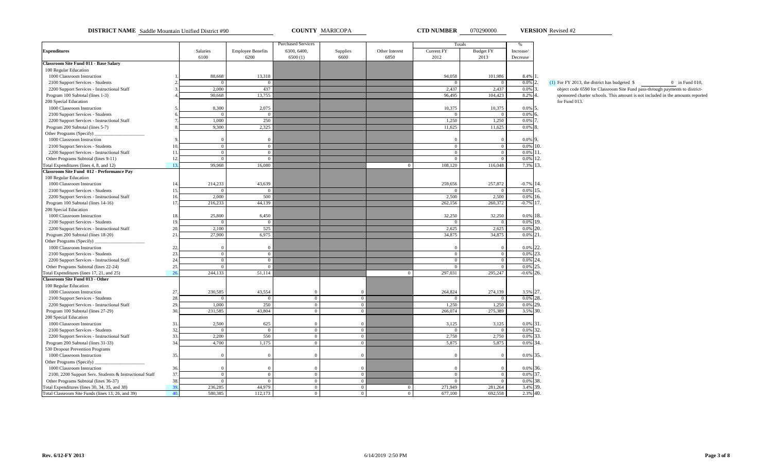**DISTRICT NAME** Saddle Mountain Unified District #90 **COUNTY MARICOPA CTD NUMBER** 070290000 **VERSION** Revised #2

**VERSION**

|                                                                                    |           |                  |                          | <b>Purchased Services</b> |                                  |                |                | Totals           | $\%$         |                                                                                      |
|------------------------------------------------------------------------------------|-----------|------------------|--------------------------|---------------------------|----------------------------------|----------------|----------------|------------------|--------------|--------------------------------------------------------------------------------------|
| <b>Expenditures</b>                                                                |           | Salaries         | <b>Employee Benefits</b> | 6300, 6400,               | Supplies                         | Other Interest | Current FY     | <b>Budget FY</b> | Increase/    |                                                                                      |
|                                                                                    |           | 6100             | 6200                     | 6500(1)                   | 6600                             | 6850           | 2012           | 2013             | Decrease     |                                                                                      |
| <b>Classroom Site Fund 011 - Base Salary</b>                                       |           |                  |                          |                           |                                  |                |                |                  |              |                                                                                      |
| 100 Regular Education                                                              |           |                  |                          |                           |                                  |                |                |                  |              |                                                                                      |
| 1000 Classroom Instruction                                                         |           | 88,668           | 13,318                   |                           |                                  |                | 94,058         | 101,986          | 8.4%         |                                                                                      |
| 2100 Support Services - Students                                                   |           |                  |                          |                           |                                  |                |                |                  | 0.0%         | $(1)$ For FY 2013, the district has budgeted \$<br>$\mathcal{D}$<br>$0$ in Fund 010. |
| 2200 Support Services - Instructional Staff                                        |           | 2.000            | 437                      |                           |                                  |                | 2.437          | 2.437            | 0.0%         | object code 6590 for Classroom Site Fund pass-through payments to district-          |
| Program 100 Subtotal (lines 1-3)                                                   |           | 90,668           | 13,755                   |                           |                                  |                | 96,495         | 104,423          | 8.2% 4       | sponsored charter schools. This amount is not included in the amounts reported       |
| 200 Special Education                                                              |           |                  |                          |                           |                                  |                |                |                  |              | for Fund 013.                                                                        |
| 1000 Classroom Instruction                                                         |           | 8,300            | 2,075                    |                           |                                  |                | 10,375         | 10,375           | $0.0\%$ 5.   |                                                                                      |
| 2100 Support Services - Students                                                   |           | $\Omega$         | $\Omega$                 |                           |                                  |                | $\Omega$       | $\overline{0}$   | $0.0\%$ 6.   |                                                                                      |
| 2200 Support Services - Instructional Staff                                        |           | 1,000            | 250                      |                           |                                  |                | 1,250          | 1,250            | 0.0%         |                                                                                      |
| Program 200 Subtotal (lines 5-7)                                                   |           | 9,300            | 2,325                    |                           |                                  |                | 11,625         | 11,625           | 0.0%         |                                                                                      |
| Other Programs (Specify)                                                           |           |                  |                          |                           |                                  |                |                |                  |              |                                                                                      |
| 1000 Classroom Instruction                                                         |           | $\Omega$         | $\Omega$                 |                           |                                  |                | $\overline{0}$ |                  | $0.0\%$ 9.   |                                                                                      |
| 2100 Support Services - Students                                                   | 10        | $\overline{0}$   | $\Omega$                 |                           |                                  |                | $\overline{0}$ | $\overline{0}$   | 0.0%         | 10.                                                                                  |
| 2200 Support Services - Instructional Staff                                        | 11        | $\mathbf{0}$     | $\Omega$                 |                           |                                  |                | $\overline{0}$ | $\Omega$         | $0.0\%$ 11.  |                                                                                      |
| Other Programs Subtotal (lines 9-11)                                               | 12        | $\theta$         |                          |                           |                                  |                | $\theta$       |                  | 0.0%         | 12.                                                                                  |
| Fotal Expenditures (lines 4, 8, and 12)                                            | 13        | 99,968           | 16,080                   |                           |                                  | $\Omega$       | 108,120        | 116,048          | 7.3%         | 13.                                                                                  |
| Classroom Site Fund 012 - Performance Pay                                          |           |                  |                          |                           |                                  |                |                |                  |              |                                                                                      |
| 100 Regular Education                                                              |           |                  |                          |                           |                                  |                |                |                  |              |                                                                                      |
| 1000 Classroom Instruction                                                         | 14        | 214,233          | 43,639                   |                           |                                  |                | 259,656        | 257,872          | $-0.7\%$ 14. |                                                                                      |
| 2100 Support Services - Students                                                   | 15        | $\Omega$         |                          |                           |                                  |                |                | $\Omega$         | 0.0%         | 15.                                                                                  |
|                                                                                    | 16        | 2,000            | 500                      |                           |                                  |                | 2,500          | 2,500            | 0.0%         | 16.                                                                                  |
| 2200 Support Services - Instructional Staff<br>Program 100 Subtotal (lines 14-16)  | 17.       | 216,233          | 44,139                   |                           |                                  |                | 262,156        | 260,372          | $-0.7%$      | 17.                                                                                  |
| 200 Special Education                                                              |           |                  |                          |                           |                                  |                |                |                  |              |                                                                                      |
| 1000 Classroom Instruction                                                         | 18        | 25,800           | 6,450                    |                           |                                  |                | 32,250         | 32,250           | 0.0%         | 18.                                                                                  |
| 2100 Support Services - Students                                                   | 19.       | $\Omega$         | $\Omega$                 |                           |                                  |                | $\overline{0}$ | $\overline{0}$   | 0.0%         | 19.                                                                                  |
| 2200 Support Services - Instructional Staff                                        | 20        | 2,100            | 525                      |                           |                                  |                | 2,625          | 2,625            | 0.0%         | 20.                                                                                  |
| Program 200 Subtotal (lines 18-20)                                                 | 21        | 27,900           | 6,975                    |                           |                                  |                | 34,875         | 34,875           | $0.0\%$ 21.  |                                                                                      |
| Other Programs (Specify)                                                           |           |                  |                          |                           |                                  |                |                |                  |              |                                                                                      |
| 1000 Classroom Instruction                                                         | 22.       | $\overline{0}$   | $\Omega$                 |                           |                                  |                | $\Omega$       |                  | 0.0%         | 22.                                                                                  |
|                                                                                    | 23        | $\overline{0}$   | $\Omega$                 |                           |                                  |                | $\overline{0}$ | $\overline{0}$   | 0.0%         | 23.                                                                                  |
| 2100 Support Services - Students                                                   | 24        | $\Omega$         |                          |                           |                                  |                | $\Omega$       | $\Omega$         | 0.0%         | 24.                                                                                  |
| 2200 Support Services - Instructional Staff                                        | 25        | $\Omega$         |                          |                           |                                  |                | $\Omega$       | $\Omega$         | 0.0%         | 25.                                                                                  |
| Other Programs Subtotal (lines 22-24)<br>Total Expenditures (lines 17, 21, and 25) | 26        | 244,133          | 51,114                   |                           |                                  | $\overline{0}$ | 297,031        | 295,247          | $-0.6\%$ 26. |                                                                                      |
| <b>Classroom Site Fund 013 - Other</b>                                             |           |                  |                          |                           |                                  |                |                |                  |              |                                                                                      |
| 100 Regular Education                                                              |           |                  |                          |                           |                                  |                |                |                  |              |                                                                                      |
|                                                                                    | 27        | 230,585          | 43,554                   | $\Omega$                  |                                  |                | 264,824        |                  | 3.5% 27.     |                                                                                      |
| 1000 Classroom Instruction                                                         | 28.       | $\Omega$         |                          | $\Omega$                  | $\overline{0}$<br>$\overline{0}$ |                |                | 274,139          | 0.0%         | 28.                                                                                  |
| 2100 Support Services - Students                                                   | 29.       |                  |                          | $\mathbf{0}$              |                                  |                | 1,250          |                  | 0.0%         | 29.                                                                                  |
| 2200 Support Services - Instructional Staff                                        |           | 1,000<br>231,585 | 250<br>43,804            |                           | $\overline{0}$                   |                |                | 1,250            |              |                                                                                      |
| Program 100 Subtotal (lines 27-29)                                                 | 30.       |                  |                          | $\overline{0}$            | $\overline{0}$                   |                | 266,074        | 275,389          | 3.5% 30.     |                                                                                      |
| 200 Special Education                                                              |           |                  |                          |                           |                                  |                |                |                  |              |                                                                                      |
| 1000 Classroom Instruction                                                         | 31        | 2,500            | 625                      | $\mathbf{0}$              | $\mathbf{0}$                     |                | 3,125          | 3,125            | 0.0%         | 31.                                                                                  |
| 2100 Support Services - Students                                                   | 32        | $\overline{0}$   | $\overline{0}$           | $\overline{0}$            | $\overline{0}$                   |                | $\overline{0}$ | $\overline{0}$   | 0.0%         | 32.                                                                                  |
| 2200 Support Services - Instructional Staff                                        | 33.<br>34 | 2.200            | 550                      | $\Omega$                  | $\Omega$                         |                | 2,750          | 2,750            | 0.0%         | 33.<br>34.                                                                           |
| Program 200 Subtotal (lines 31-33)                                                 |           | 4,700            | 1,175                    | $\Omega$                  | $\overline{0}$                   |                | 5,875          | 5,875            | 0.0%         |                                                                                      |
| 530 Dropout Prevention Programs                                                    |           |                  |                          |                           |                                  |                |                |                  |              |                                                                                      |
| 1000 Classroom Instruction                                                         | 35.       | $\Omega$         |                          | $\Omega$                  | $\overline{0}$                   |                | $^{\circ}$     |                  | 0.0% 35.     |                                                                                      |
| Other Programs (Specify)                                                           |           |                  |                          |                           |                                  |                |                |                  |              |                                                                                      |
| 1000 Classroom Instruction                                                         | 36.       | $\overline{0}$   |                          | $\mathbf{0}$              | $\mathbf{0}$                     |                | $\overline{0}$ |                  | 0.0% 36.     |                                                                                      |
| 2100, 2200 Support Serv. Students & Instructional Staff                            | 37        | $\mathbf{0}$     | $\overline{0}$           | $\overline{0}$            | $\overline{0}$                   |                | $\overline{0}$ | $\overline{0}$   | 0.0%         | 37.<br>38.                                                                           |
| Other Programs Subtotal (lines 36-37)                                              | 38.       | $\Omega$         | $\Omega$                 | $\mathbf{0}$              | $\overline{0}$                   |                | $\Omega$       | $\Omega$         | 0.0%         |                                                                                      |
| Total Expenditures (lines 30, 34, 35, and 38)                                      | 39        | 236,285          | 44,979                   | $\overline{0}$            | $\overline{0}$                   | $\overline{0}$ | 271,949        | 281,264          | 3.4% 39.     |                                                                                      |
| Total Classroom Site Funds (lines 13, 26, and 39)                                  | 40.       | 580,385          | 112,173                  | $\mathbf{0}$              | $\overline{0}$                   | $\overline{0}$ | 677,100        | 692,558          | 2.3% 40.     |                                                                                      |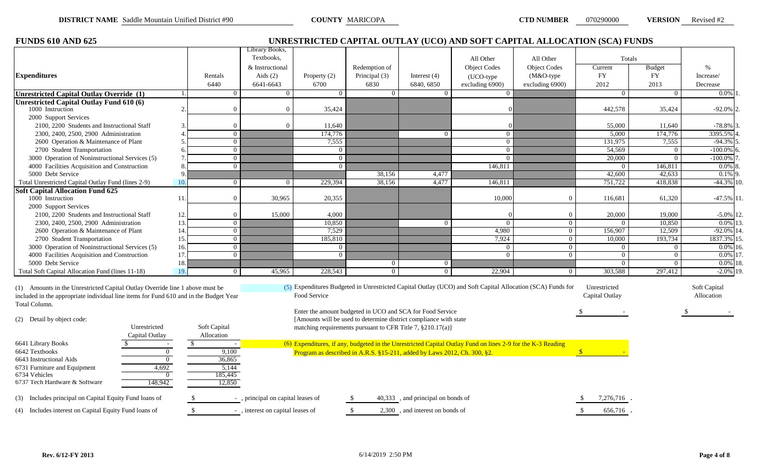| <b>FUNDS 610 AND 625</b>                                                                                                                                                               |                 |                                   |                |                                                                          |                                   | UNRESTRICTED CAPITAL OUTLAY (UCO) AND SOFT CAPITAL ALLOCATION (SCA) FUNDS                                   |                     |                                |                |                            |
|----------------------------------------------------------------------------------------------------------------------------------------------------------------------------------------|-----------------|-----------------------------------|----------------|--------------------------------------------------------------------------|-----------------------------------|-------------------------------------------------------------------------------------------------------------|---------------------|--------------------------------|----------------|----------------------------|
|                                                                                                                                                                                        |                 | Library Books,<br>Textbooks,      |                |                                                                          |                                   | All Other                                                                                                   | All Other           | Totals                         |                |                            |
|                                                                                                                                                                                        |                 | & Instructional                   |                | Redemption of                                                            |                                   | <b>Object Codes</b>                                                                                         | <b>Object Codes</b> | Current                        | <b>Budget</b>  | $\frac{0}{0}$              |
| <b>Expenditures</b>                                                                                                                                                                    | Rentals         | Aids $(2)$                        | Property $(2)$ | Principal (3)                                                            | Interest $(4)$                    | (UCO-type                                                                                                   | $(M&O$ -type        | FY                             | <b>FY</b>      | Increase/                  |
|                                                                                                                                                                                        | 6440            | 6641-6643                         | 6700           | 6830                                                                     | 6840, 6850                        | excluding 6900)                                                                                             | excluding 6900)     | 2012                           | 2013           | Decrease                   |
| Unrestricted Capital Outlay Override (1)                                                                                                                                               |                 | $\mathbf{0}$<br>$\Omega$          | $\Omega$       | $\overline{0}$                                                           | $\overline{0}$                    |                                                                                                             |                     | $\overline{0}$                 | $\overline{0}$ | $0.0\%$ 1                  |
| <b>Unrestricted Capital Outlay Fund 610 (6)</b>                                                                                                                                        |                 | $\Omega$                          |                |                                                                          |                                   |                                                                                                             |                     |                                |                |                            |
| 1000 Instruction                                                                                                                                                                       |                 | $\overline{0}$                    | 35,424         |                                                                          |                                   |                                                                                                             |                     | 442,578                        | 35,424         | $-92.0\%$ 2.               |
| 2000 Support Services<br>2100, 2200 Students and Instructional Staff                                                                                                                   |                 | $\Omega$<br>$\Omega$              | 11,640         |                                                                          |                                   |                                                                                                             |                     | 55,000                         | 11,640         | $-78.8\%$ 3.               |
| 2300, 2400, 2500, 2900 Administration                                                                                                                                                  |                 | $\overline{0}$                    | 174,776        |                                                                          | $\overline{0}$                    | $\overline{0}$                                                                                              |                     | 5,000                          | 174,776        | 3395.5% 4                  |
| 2600 Operation & Maintenance of Plant                                                                                                                                                  |                 | $\overline{0}$                    | 7,555          |                                                                          |                                   | $\Omega$                                                                                                    |                     | 131,975                        | 7,555          | $-94.3\%$ 5                |
| 2700 Student Transportation                                                                                                                                                            |                 | $\overline{0}$                    | $\Omega$       |                                                                          |                                   | $\Omega$                                                                                                    |                     | 54,569                         | $\overline{0}$ | $-100.0\%$ 6               |
| 3000 Operation of Noninstructional Services (5)                                                                                                                                        |                 | $\overline{0}$                    | $\Omega$       |                                                                          |                                   | $\Omega$                                                                                                    |                     | 20,000                         | $\Omega$       | $-100.0\%$ 7               |
| 4000 Facilities Acquisition and Construction                                                                                                                                           |                 | $\overline{0}$                    | $\Omega$       |                                                                          |                                   | 146,811                                                                                                     |                     | $\overline{0}$                 | 146,811        | $0.0\%$ 8.                 |
| 5000 Debt Service                                                                                                                                                                      |                 |                                   |                | 38,156                                                                   | 4,477                             |                                                                                                             |                     | 42,600                         | 42,633         | $0.1\%$ 9.                 |
| Total Unrestricted Capital Outlay Fund (lines 2-9)                                                                                                                                     | 10 <sub>1</sub> | $\overline{0}$<br>$\overline{0}$  | 229,394        | 38,156                                                                   | 4,477                             | 146,811                                                                                                     |                     | 751,722                        | 418,838        | $-44.3\%$ 10.              |
| <b>Soft Capital Allocation Fund 625</b>                                                                                                                                                |                 |                                   |                |                                                                          |                                   |                                                                                                             |                     |                                |                |                            |
| 1000 Instruction                                                                                                                                                                       | 11              | $\overline{0}$<br>30,965          | 20,355         |                                                                          |                                   | 10,000                                                                                                      | $\overline{0}$      | 116,681                        | 61,320         | $-47.5\%$ 11.              |
| 2000 Support Services                                                                                                                                                                  |                 |                                   |                |                                                                          |                                   |                                                                                                             |                     |                                |                |                            |
| 2100, 2200 Students and Instructional Staff                                                                                                                                            | 12.             | $\overline{0}$<br>15,000          | 4.000          |                                                                          |                                   |                                                                                                             | $\Omega$            | 20,000                         | 19,000         | $-5.0\%$ 12.               |
| 2300, 2400, 2500, 2900 Administration                                                                                                                                                  | 13              | $\overline{0}$                    | 10,850         |                                                                          | $\overline{0}$                    |                                                                                                             | $\overline{0}$      | $\Omega$                       | 10,850         | $0.0\%$ 13.                |
| 2600 Operation & Maintenance of Plant                                                                                                                                                  | 14              | $\overline{0}$                    | 7,529          |                                                                          |                                   | 4,980                                                                                                       | $\overline{0}$      | 156,907                        | 12,509         | $-92.0\%$ 14.              |
| 2700 Student Transportation                                                                                                                                                            | 15.             | $\overline{0}$                    | 185,810        |                                                                          |                                   | 7,924                                                                                                       | $\overline{0}$      | 10,000                         | 193,734        | 1837.3% 15.                |
| 3000 Operation of Noninstructional Services (5)                                                                                                                                        | 16.             | $\overline{0}$                    | $\Omega$       |                                                                          |                                   | $\overline{0}$                                                                                              | $\overline{0}$      | $\overline{0}$                 | $\overline{0}$ | $0.0\%$ 16.                |
| 4000 Facilities Acquisition and Construction                                                                                                                                           | 17              | $\overline{0}$                    | $\Omega$       |                                                                          |                                   | $\Omega$                                                                                                    | $\overline{0}$      | $\overline{0}$                 | $\overline{0}$ | $0.0\%$ 17.                |
| 5000 Debt Service                                                                                                                                                                      | 18              |                                   |                | $\overline{0}$                                                           | $\overline{0}$                    |                                                                                                             |                     | $\Omega$                       | $\Omega$       | $0.0\%$ 18.                |
| Total Soft Capital Allocation Fund (lines 11-18)                                                                                                                                       | 19.             | $\overline{0}$<br>45,965          | 228,543        | $\overline{0}$                                                           | $\overline{0}$                    | 22,904                                                                                                      | $\Omega$            | 303,588                        | 297,412        | $-2.0\%$ 19.               |
| (1) Amounts in the Unrestricted Capital Outlay Override line 1 above must be<br>included in the appropriate individual line items for Fund 610 and in the Budget Year<br>Total Column. |                 |                                   | Food Service   |                                                                          |                                   | (5) Expenditures Budgeted in Unrestricted Capital Outlay (UCO) and Soft Capital Allocation (SCA) Funds for  |                     | Unrestricted<br>Capital Outlay |                | Soft Capital<br>Allocation |
|                                                                                                                                                                                        |                 |                                   |                | Enter the amount budgeted in UCO and SCA for Food Service                |                                   |                                                                                                             |                     |                                |                |                            |
| (2) Detail by object code:                                                                                                                                                             |                 |                                   |                | [Amounts will be used to determine district compliance with state        |                                   |                                                                                                             |                     |                                |                |                            |
| Unrestricted                                                                                                                                                                           | Soft Capital    |                                   |                | matching requirements pursuant to CFR Title 7, §210.17(a)]               |                                   |                                                                                                             |                     |                                |                |                            |
| Capital Outlay                                                                                                                                                                         | Allocation      |                                   |                |                                                                          |                                   |                                                                                                             |                     |                                |                |                            |
| 6641 Library Books                                                                                                                                                                     | <sup>\$</sup>   | $\sim$                            |                |                                                                          |                                   | (6) Expenditures, if any, budgeted in the Unrestricted Capital Outlay Fund on lines 2-9 for the K-3 Reading |                     |                                |                |                            |
| 6642 Textbooks<br>$\overline{0}$                                                                                                                                                       |                 | 9,100                             |                | Program as described in A.R.S. §15-211, added by Laws 2012, Ch. 300, §2. |                                   |                                                                                                             |                     | $\mathbf{s}$                   |                |                            |
| 6643 Instructional Aids<br>$\overline{0}$                                                                                                                                              |                 | 36,865<br>5,144                   |                |                                                                          |                                   |                                                                                                             |                     |                                |                |                            |
| 4,692<br>6731 Furniture and Equipment<br>6734 Vehicles<br>$\overline{0}$                                                                                                               |                 | 185,445                           |                |                                                                          |                                   |                                                                                                             |                     |                                |                |                            |
| 148,942<br>6737 Tech Hardware & Software                                                                                                                                               |                 | 12,850                            |                |                                                                          |                                   |                                                                                                             |                     |                                |                |                            |
|                                                                                                                                                                                        |                 |                                   |                |                                                                          |                                   |                                                                                                             |                     |                                |                |                            |
| (3) Includes principal on Capital Equity Fund loans of                                                                                                                                 |                 | -, principal on capital leases of |                |                                                                          | 40,333, and principal on bonds of |                                                                                                             |                     | 7,276,716.                     |                |                            |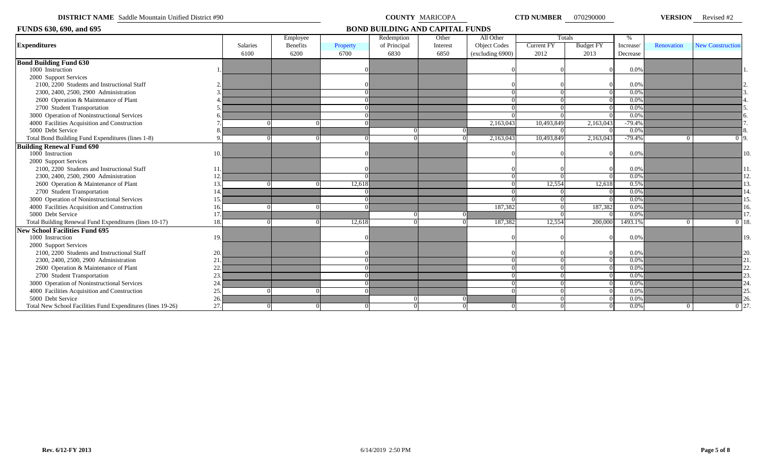|  | <b>DISTRICT NAME</b> Saddle Mountain Unified District #90 |
|--|-----------------------------------------------------------|
|--|-----------------------------------------------------------|

**COUNTY** MARICOPA **CTD NUMBER** 070290000 **VERSION** Revised #2

| FUNDS 630, 690, and 695                                     |     |                 |                 |          | <b>BOND BUILDING AND CAPITAL FUNDS</b> |          |                     |            |                  |           |            |                         |
|-------------------------------------------------------------|-----|-----------------|-----------------|----------|----------------------------------------|----------|---------------------|------------|------------------|-----------|------------|-------------------------|
|                                                             |     |                 | Employee        |          | Redemption                             | Other    | All Other           |            | Totals           | $\%$      |            |                         |
| <b>Expenditures</b>                                         |     | <b>Salaries</b> | <b>Benefits</b> | Property | of Principal                           | Interest | <b>Object Codes</b> | Current FY | <b>Budget FY</b> | Increase/ | Renovation | <b>New Construction</b> |
|                                                             |     | 6100            | 6200            | 6700     | 6830                                   | 6850     | (excluding 6900)    | 2012       | 2013             | Decrease  |            |                         |
| <b>Bond Building Fund 630</b>                               |     |                 |                 |          |                                        |          |                     |            |                  |           |            |                         |
| 1000 Instruction                                            |     |                 |                 |          |                                        |          |                     |            |                  | 0.0%      |            |                         |
| 2000 Support Services                                       |     |                 |                 |          |                                        |          |                     |            |                  |           |            |                         |
| 2100, 2200 Students and Instructional Staff                 |     |                 |                 |          |                                        |          |                     |            |                  | 0.0%      |            |                         |
| 2300, 2400, 2500, 2900 Administration                       |     |                 |                 |          |                                        |          |                     |            |                  | 0.0%      |            |                         |
| 2600 Operation & Maintenance of Plant                       |     |                 |                 |          |                                        |          |                     |            |                  | 0.0%      |            |                         |
| 2700 Student Transportation                                 |     |                 |                 |          |                                        |          |                     |            |                  | 0.0%      |            |                         |
| 3000 Operation of Noninstructional Services                 |     |                 |                 |          |                                        |          |                     |            |                  | 0.0%      |            |                         |
| 4000 Facilities Acquisition and Construction                |     |                 |                 |          |                                        |          | 2,163,043           | 10,493,849 | 2,163,043        | $-79.4%$  |            |                         |
| 5000 Debt Service                                           |     |                 |                 |          |                                        |          |                     |            |                  | 0.0%      |            |                         |
| Total Bond Building Fund Expenditures (lines 1-8)           |     |                 |                 |          |                                        |          | 2,163,043           | 10,493,849 | 2,163,043        | $-79.4%$  | $\Omega$   | 0 <sub>19</sub>         |
| <b>Building Renewal Fund 690</b>                            |     |                 |                 |          |                                        |          |                     |            |                  |           |            |                         |
| 1000 Instruction                                            | 10  |                 |                 |          |                                        |          |                     |            |                  | 0.0%      |            |                         |
| 2000 Support Services                                       |     |                 |                 |          |                                        |          |                     |            |                  |           |            |                         |
| 2100, 2200 Students and Instructional Staff                 | 11  |                 |                 |          |                                        |          |                     |            |                  | 0.0%      |            |                         |
| 2300, 2400, 2500, 2900 Administration                       |     |                 |                 |          |                                        |          |                     |            |                  | 0.0%      |            |                         |
| 2600 Operation & Maintenance of Plant                       | 13  |                 |                 | 12,618   |                                        |          |                     | 12,554     | 12,618           | 0.5%      |            |                         |
| 2700 Student Transportation                                 |     |                 |                 |          |                                        |          |                     |            |                  | 0.0%      |            |                         |
| 3000 Operation of Noninstructional Services                 | 15  |                 |                 |          |                                        |          |                     |            |                  | 0.0%      |            |                         |
| 4000 Facilities Acquisition and Construction                |     |                 |                 |          |                                        |          | 187,382             |            | 187,382          | 0.0%      |            |                         |
| 5000 Debt Service                                           |     |                 |                 |          |                                        |          |                     |            |                  | 0.0%      |            |                         |
| Total Building Renewal Fund Expenditures (lines 10-17)      | 18  |                 |                 | 12,618   |                                        |          | 187,382             | 12,554     | 200,000          | 1493.1%   | $\Omega$   | $0$ 18.                 |
| <b>New School Facilities Fund 695</b>                       |     |                 |                 |          |                                        |          |                     |            |                  |           |            |                         |
| 1000 Instruction                                            | 19  |                 |                 |          |                                        |          |                     |            |                  | 0.0%      |            |                         |
| 2000 Support Services                                       |     |                 |                 |          |                                        |          |                     |            |                  |           |            |                         |
| 2100, 2200 Students and Instructional Staff                 | 20. |                 |                 |          |                                        |          |                     |            |                  | $0.0\%$   |            |                         |
| 2300, 2400, 2500, 2900 Administration                       | 21  |                 |                 |          |                                        |          |                     |            |                  | 0.0%      |            |                         |
| 2600 Operation & Maintenance of Plant                       | 22  |                 |                 |          |                                        |          |                     |            |                  | 0.0%      |            |                         |
| 2700 Student Transportation                                 | 23  |                 |                 |          |                                        |          |                     |            |                  | 0.0%      |            |                         |
| 3000 Operation of Noninstructional Services                 | 24  |                 |                 |          |                                        |          |                     |            |                  | 0.0%      |            |                         |
| 4000 Facilities Acquisition and Construction                | 25  |                 |                 |          |                                        |          |                     |            |                  | $0.0\%$   |            |                         |
| 5000 Debt Service                                           | 26  |                 |                 |          |                                        |          |                     |            |                  | 0.0%      |            |                         |
| Total New School Facilities Fund Expenditures (lines 19-26) | 27  |                 |                 |          |                                        |          |                     | $^{\circ}$ | -01              | $0.0\%$   | $\Omega$   | $\overline{0}$ 27       |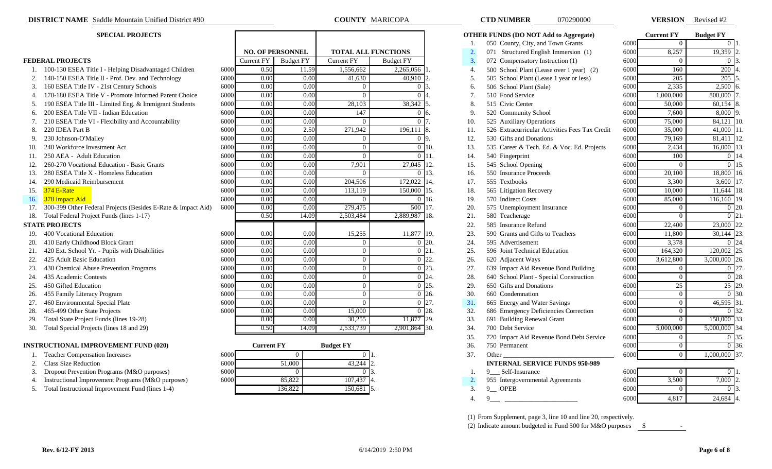- 1. 100-130 ESEA Title I Helping Disadvantaged Children 60
- 2. 140-150 ESEA Title II Prof. Dev. and Technology 60
- 3. 160 ESEA Title IV 21st Century Schools 60
- 4. 170-180 ESEA Title V Promote Informed Parent Choice 60
- 5. 190 ESEA Title III Limited Eng. & Immigrant Students 60
- 6. 200 ESEA Title VII Indian Education 60
- 7. 210 ESEA Title VI Flexibility and Accountability 60
- 
- 
- 10. 240 Workforce Investment Act 60
- 11. 250 AEA Adult Education 60
- 12. 260-270 Vocational Education Basic Grants 600
- 13. 280 ESEA Title X Homeless Education 6000 6.000 13. 16. 550 Insurance Proceeds 6000 16.
- 14. 290 Medicaid Reimbursement 600 600 2014,500 204,506 172,000 3,600 17. 555 Textbooks 6000 3,500 3,600 3,600 3,600 17. 555 Textbooks 6000 3,400 3,600 3,600 3,400 3,600 3,600 3,600 17. 555 Textbooks 6000 3,600 3,600 3,600
- 
- 
- 17. 300-399 Other Federal Projects (Besides E-Rate & Impact Aid) 60
- 18. Total Federal Project Funds (lines 1-17)

- 19. 400 Vocational Education 6000 11,877 19. 23. 590 11,800 3000 11,800 3000 11,800 3000 11,800 30,144 23. 14
- 20. 410 Early Childhood Block Grant 60
- 21. 420 Ext. School Yr. Pupils with Disabilities 60
- 
- 23. 430 Chemical Abuse Prevention Programs 60
- 24. 435 Academic Contests 60
- 
- 26. 455 Family Literacy Program 60
- 27. 460 Environmental Special Plate 60
- 28. 465-499 Other State Projects 60
- 29. Total State Project Funds (lines 19-28)
- 30. Total Special Projects (lines 18 and 29)

### **INSTRUCTIONAL IMPROVEMENT FUND (020)**

- 
- 2. Class Size Reduction
- 3. Dropout Prevention Programs (M&O purposes)
- 4. Instructional Improvement Programs (M&O purposes)
- 5. Total Instructional Improvement Fund (lines 1-4)

|     | <b>SPECIAL PROJECTS</b>                                      |      |                         |                         |                            |                  | <b>OTHER FUNDS (DO NOT Add to Aggregate)</b>                |                                                           |                                                |          | <b>Current FY</b>  | <b>Budget FY</b>  |  |
|-----|--------------------------------------------------------------|------|-------------------------|-------------------------|----------------------------|------------------|-------------------------------------------------------------|-----------------------------------------------------------|------------------------------------------------|----------|--------------------|-------------------|--|
|     |                                                              |      |                         |                         |                            |                  | 050 County, City, and Town Grants                           |                                                           |                                                | 6000     | $\Omega$           | $\Omega$ $\Gamma$ |  |
|     |                                                              |      |                         | <b>NO. OF PERSONNEL</b> | <b>TOTAL ALL FUNCTIONS</b> |                  |                                                             | $\overline{2}$                                            | 071 Structured English Immersion (1)           | 6000     | 8,257              | 19,359 2          |  |
|     | <b>FEDERAL PROJECTS</b>                                      |      | Current $\overline{FY}$ | <b>Budget FY</b>        | <b>Current FY</b>          | <b>Budget FY</b> |                                                             | 3.                                                        | 072 Compensatory Instruction (1)               | 6000     | $\Omega$           | 0.13              |  |
|     | 1. 100-130 ESEA Title I - Helping Disadvantaged Children     | 6000 | 0.50                    | 11.59                   | 1,556,662                  | 2,265,056        |                                                             | $\overline{4}$                                            | 500 School Plant (Lease over 1 year) (2)       | 6000     | 160                | 200 4             |  |
|     | 140-150 ESEA Title II - Prof. Dev. and Technology            | 6000 | 0.00                    | 0.00                    | 41,630                     | 40,910           |                                                             | 5.                                                        | 505 School Plant (Lease 1 year or less)        | 6000     | 205                | $205$ 5           |  |
|     | 160 ESEA Title IV - 21st Century Schools                     | 6000 | 0.00                    | 0.00                    | $\theta$                   | $\Omega$         |                                                             | 6.                                                        | 506 School Plant (Sale)                        | 6000     | 2,335              | $2,500$ 6         |  |
|     | 170-180 ESEA Title V - Promote Informed Parent Choice        | 6000 | 0.00                    | 0.00                    | $\Omega$                   | $\Omega$         |                                                             |                                                           | 510 Food Service                               | 6000     | ,000,000           | 800,000           |  |
|     | 190 ESEA Title III - Limited Eng. & Immigrant Students       | 6000 | 0.00                    | 0.00                    | 28,103                     | 38,342 5.        |                                                             | 8.                                                        | 515 Civic Center                               | 6000     | 50,000             | $60,154$ 8        |  |
| 6.  | 200 ESEA Title VII - Indian Education                        | 6000 | 0.00                    | 0.00                    | 147                        | $\Omega$         | 16                                                          | 9.                                                        | 520 Community School                           | 6000     | 7.600              | 8,000             |  |
|     | 210 ESEA Title VI - Flexibility and Accountability           | 6000 | 0.00                    | 0.00                    | $\Omega$                   | $\Omega$         |                                                             | 10.                                                       | 525 Auxiliary Operations                       | 6000     | 75,000             | 84,121            |  |
| 8.  | 220 IDEA Part B                                              | 6000 | 0.00                    | 2.50                    | 271,942                    | 196.111          |                                                             | 11.                                                       | 526 Extracurricular Activities Fees Tax Credit | 6000     | 35,000             | 41,000            |  |
|     | 230 Johnson-O'Malley                                         | 6000 | 0.00                    | 0.00                    | $\Omega$                   | $0\vert 9$ .     |                                                             | 12.                                                       | 530 Gifts and Donations                        | 6000     | 79,169             | $81,411$ 12.      |  |
|     | 240 Workforce Investment Act                                 | 6000 | 0.00                    | 0.00                    | $\theta$                   | $\Omega$         | 10.                                                         | 6000<br>13.<br>535 Career & Tech. Ed. & Voc. Ed. Projects |                                                |          | 2,434              | 16,000 13         |  |
|     | 250 AEA - Adult Education                                    | 6000 | 0.00                    | 0.00                    | $\overline{0}$             | $\Omega$         | 111.<br>14.<br>540 Fingerprint                              |                                                           |                                                | 6000     | 100                | $0 \mid 14$       |  |
|     | 260-270 Vocational Education - Basic Grants                  | 6000 | 0.00                    | 0.00                    | 7,901                      | 27,045 12.       | 15.<br>545 School Opening                                   |                                                           |                                                | 6000     | $\Omega$           | 0115              |  |
|     | 280 ESEA Title X - Homeless Education                        | 6000 | 0.00                    | 0.00                    | $\Omega$                   | $\Omega$         | 13.<br>550 Insurance Proceeds<br>16.                        |                                                           | 6000                                           | 20,100   | 18,800 16          |                   |  |
| 14. | 290 Medicaid Reimbursement                                   | 6000 | 0.00                    | 0.00                    | 204,506                    | 172,022 14.      | 555 Textbooks<br>17.                                        |                                                           | 6000                                           | 3,300    | 3,600              |                   |  |
| 15. | <b>374 E-Rate</b>                                            | 6000 | 0.00                    | 0.00                    | 113,119                    | 150,000          | 15.<br>565 Litigation Recovery<br>18.                       |                                                           |                                                | 6000     | 10,000             | 11,644 18.        |  |
| 16. | 378 Impact Aid                                               | 6000 | 0.00                    | 0.00                    | $\Omega$                   | $\Omega$         | 16.                                                         | 19.                                                       | 570 Indirect Costs                             | 6000     | 85,000             | 116,160 19        |  |
|     | 300-399 Other Federal Projects (Besides E-Rate & Impact Aid) | 6000 | 0.00                    | 0.00                    | 279,475                    | 500              | 17.                                                         | 20.                                                       | 575 Unemployment Insurance                     | 6000     | $\overline{0}$     | 0 <sup>20</sup>   |  |
|     | 18. Total Federal Project Funds (lines 1-17)                 |      | 0.50                    | 14.09                   | 2,503,484                  | 2,889,987 18.    |                                                             | 21.                                                       | 580 Teacherage                                 | 6000     | $\Omega$           | $\overline{0}$ 21 |  |
|     | <b>STATE PROJECTS</b>                                        |      |                         |                         |                            |                  |                                                             | 22.                                                       | 585 Insurance Refund                           | 6000     | 22,400             | 23,000 22         |  |
|     | 400 Vocational Education                                     | 6000 | 0.00                    | 0.00                    | 15,255                     | 11,877 19.       |                                                             | 23.                                                       | 590 Grants and Gifts to Teachers               | 6000     | 11,800             | $30,144$ 2        |  |
| 20. | 410 Early Childhood Block Grant                              | 6000 | 0.00                    | 0.00                    | $\Omega$                   | $\Omega$         | 20.                                                         | 24.                                                       | 595 Advertisement                              | 6000     | 3,378              | 0.124             |  |
| 21. | 420 Ext. School Yr. - Pupils with Disabilities               | 6000 | 0.00                    | 0.00                    | $\overline{0}$             | $\Omega$         | 21.                                                         | 25.                                                       | 596 Joint Technical Education                  | 6000     | 164,320            | 120,002 25        |  |
| 22. | 425 Adult Basic Education                                    | 6000 | 0.00                    | $\overline{0.00}$       | $\overline{0}$             | $\Omega$         | 22                                                          | 26.                                                       | 620 Adjacent Ways                              | 6000     | 3,612,800          | 3,000,000 26.     |  |
|     | 430 Chemical Abuse Prevention Programs                       | 6000 | 0.00                    | 0.00                    | $\overline{0}$             | $\Omega$         | 23                                                          | 27.                                                       | 639 Impact Aid Revenue Bond Building           | 6000     | $\overline{0}$     | 0 27              |  |
| 24. | 435 Academic Contests                                        | 6000 | 0.00                    | 0.00                    | $\overline{0}$             |                  | 28.<br>$0\,$ 24.<br>640 School Plant - Special Construction |                                                           | 6000                                           | $\theta$ | 0 28               |                   |  |
| 25. | 450 Gifted Education                                         | 6000 | 0.00                    | 0.00                    | $\theta$                   | $\Omega$         | 25<br>29.<br>650 Gifts and Donations                        |                                                           | 6000                                           | 25       | $\overline{25}$ 29 |                   |  |
|     | 455 Family Literacy Program                                  | 6000 | 0.00                    | 0.00                    | $\Omega$                   |                  | $0\,26$                                                     | 30.                                                       | 660 Condemnation                               | 6000     | $\overline{0}$     | 0.130             |  |
| 27. | 460 Environmental Special Plate                              | 6000 | 0.00                    | 0.00                    | $\Omega$                   | $\Omega$         | 27                                                          | 31.                                                       | 665 Energy and Water Savings                   | 6000     | $\overline{0}$     | $46,595$ 3        |  |
| 28. | 465-499 Other State Projects                                 | 6000 | 0.00                    | 0.00                    | 15,000                     |                  | 0 <sup>28</sup>                                             | 32.                                                       | 686 Emergency Deficiencies Correction          | 6000     | $\overline{0}$     | 0.132             |  |
|     | Total State Project Funds (lines 19-28)                      |      | 0.00                    | 0.00                    | 30,255                     | 11,877 29.       |                                                             | 33.                                                       | 691 Building Renewal Grant                     | 6000     | $\Omega$           | 150,000 33        |  |
|     | 30. Total Special Projects (lines 18 and 29)                 |      | 0.50                    | 14.09                   | 2,533,739                  | 2,901,864 30.    |                                                             | 34.                                                       | 700 Debt Service                               | 6000     | 5,000,000          | 5,000,000 34.     |  |

**COUNTY MARICOPA** 

|      | <b>Current FY</b> | <b>Budget FY</b> |  |
|------|-------------------|------------------|--|
| 5000 |                   |                  |  |
| 5000 | 51,000            | 12.<br>43,244    |  |
| 5000 |                   |                  |  |
| 5000 | 85,822            | 107,437          |  |
|      | 136,822           | 150,681<br>15.   |  |

| <b>NUMBER</b> | 070290000 |
|---------------|-----------|
|               |           |

| <b>SPECIAL PROJECTS</b>                                         |      |                         |                                   |                                |                                  |                                   |                                          | <b>OTHER FUNDS (DO NOT Add to Aggregate)</b>   |                  | <b>Current FY</b> | <b>Budget FY</b>       |
|-----------------------------------------------------------------|------|-------------------------|-----------------------------------|--------------------------------|----------------------------------|-----------------------------------|------------------------------------------|------------------------------------------------|------------------|-------------------|------------------------|
|                                                                 |      |                         |                                   |                                |                                  | 050 County, City, and Town Grants | 6000                                     | $\overline{0}$                                 | $\overline{0}$ 1 |                   |                        |
|                                                                 |      | <b>NO. OF PERSONNEL</b> |                                   |                                | <b>TOTAL ALL FUNCTIONS</b><br>2. |                                   |                                          | 071 Structured English Immersion (1)           | 6000             | 8,257             | 19,359 2               |
| <b>DERAL PROJECTS</b>                                           |      | Current FY              | <b>Budget FY</b>                  | Current FY<br><b>Budget FY</b> |                                  | 3.                                | 072 Compensatory Instruction (1)         | 6000                                           | $\Omega$         | 0 3               |                        |
| 1. 100-130 ESEA Title I - Helping Disadvantaged Children        | 6000 | 0.50                    | 11.59<br>1,556,662<br>2,265,056 1 |                                |                                  | 4.                                | 500 School Plant (Lease over 1 year) (2) | 6000                                           | 160              | 200 4             |                        |
| 2. 140-150 ESEA Title II - Prof. Dev. and Technology            | 6000 | $\overline{0.00}$       | 0.00                              | 41,630<br>40,910               |                                  |                                   | 5.                                       | 505 School Plant (Lease 1 year or less)        | 6000             | 205               | $205$ 5                |
| 3. 160 ESEA Title IV - 21st Century Schools                     | 6000 | 0.00                    | 0.00                              | $\Omega$<br>0.13               |                                  |                                   | 6.                                       | 506 School Plant (Sale)                        | 6000             | 2,335             | $2,500$ 6              |
| 4. 170-180 ESEA Title V - Promote Informed Parent Choice        | 6000 | 0.00                    | 0.00                              | $\Omega$<br>$\theta$           |                                  |                                   | 7.                                       | 510 Food Service                               | 6000             | 1,000,000         | 800,000                |
| 5. 190 ESEA Title III - Limited Eng. & Immigrant Students       | 6000 | 0.00                    | 0.00                              | 28,103<br>38,342               |                                  |                                   | 8.                                       | 515 Civic Center                               | 6000             | 50,000            | $60,154$ 8             |
| 6. 200 ESEA Title VII - Indian Education                        | 6000 | 0.00                    | 0.00                              | 147                            | $\Omega$                         |                                   | 9.                                       | 520 Community School                           | 6000             | 7,600             | 8,000 9.               |
| 210 ESEA Title VI - Flexibility and Accountability<br>7.        | 6000 | 0.00                    | 0.00                              |                                | 0 7.                             |                                   | 10.                                      | 525 Auxiliary Operations                       | 6000             | 75,000            | $84,121$ 10.           |
| 8.<br>220 IDEA Part B                                           | 6000 | 0.00                    | 2.50                              | 271,942                        | $196,111$ 8.                     |                                   | 11.                                      | 526 Extracurricular Activities Fees Tax Credit | 6000             | 35,000            | $41,000$ 11.           |
| 9. 230 Johnson-O'Malley                                         | 6000 | 0.00                    | 0.00                              | $\Omega$                       | $0\vert 9$ .                     |                                   | 12.                                      | 530 Gifts and Donations                        | 6000             | 79,169            | 81,411 12.             |
| 240 Workforce Investment Act                                    | 6000 | 0.00                    | 0.00                              | $\Omega$                       |                                  | $0\,10.$                          | 13.                                      | 535 Career & Tech. Ed. & Voc. Ed. Projects     | 6000             | 2,434             | $16,000$ 13            |
| 250 AEA - Adult Education                                       | 6000 | 0.00                    | 0.00                              | $\Omega$                       |                                  | $0 \; 11.$                        | 14.                                      | 540 Fingerprint                                | 6000             | 100               | 0 14                   |
| 260-270 Vocational Education - Basic Grants<br>2.               | 6000 | 0.00                    | 0.00                              | 7,901                          | 27,045 12.                       |                                   | 15.                                      | 545 School Opening                             | 6000             | $\Omega$          | 015                    |
| 280 ESEA Title X - Homeless Education<br>3.                     | 6000 | 0.00                    | 0.00                              |                                | 0 13.                            |                                   | 16.                                      | 550 Insurance Proceeds                         | 6000             | 20,100            | 18,800 16.             |
| 4. 290 Medicaid Reimbursement                                   | 6000 | 0.00                    | 0.00                              | 204,506                        | 172,022 14.                      |                                   | 555 Textbooks<br>17.                     |                                                | 6000             | 3,300             | $3,600$ 17.            |
| $374$ E-Rate<br>5.                                              | 6000 | 0.00                    | 0.00                              | 113,119                        | 150,000 15.                      | 18.<br>565 Litigation Recovery    |                                          | 6000                                           | 10,000           | 11,644 18.        |                        |
| 378 Impact Aid<br>6.                                            | 6000 | 0.00                    | 0.00                              | $\Omega$                       |                                  | $0\,16.$                          | 19.                                      | 570 Indirect Costs<br>6000                     |                  | 85,000            | 116,160 19.            |
| 7. 300-399 Other Federal Projects (Besides E-Rate & Impact Aid) | 6000 | 0.00                    | 0.00                              | 279,475                        | 500 17.                          |                                   | 20.                                      | 575 Unemployment Insurance                     | 6000             | $\overline{0}$    | $0\,120$               |
| 8. Total Federal Project Funds (lines 1-17)                     |      | 0.50                    | 14.09                             | 2,503,484                      | 2,889,987 18.                    |                                   | 21.                                      | 580 Teacherage                                 | 6000             | $\Omega$          | 0 <sup>121</sup>       |
| <b>ATE PROJECTS</b>                                             |      |                         |                                   |                                |                                  |                                   | 22.                                      | 585 Insurance Refund                           | 6000             | 22,400            | 23,000 22              |
| 9. 400 Vocational Education                                     | 6000 | 0.00                    | 0.00                              | 15,255                         | 11,877 19.                       |                                   | 23.                                      | 590 Grants and Gifts to Teachers               | 6000             | 11,800            | $30,144$ 23.           |
| 0. 410 Early Childhood Block Grant                              | 6000 | 0.00                    | 0.00                              | $\theta$                       | $\overline{0}$ 20.               |                                   | 24.                                      | 595 Advertisement                              | 6000             | 3,378             | 0.24                   |
| 1. 420 Ext. School Yr. - Pupils with Disabilities               | 6000 | 0.00                    | 0.00                              | $\theta$                       | $\overline{0}$ 21.               |                                   | 25.                                      | 596 Joint Technical Education                  | 6000             | 164,320           | 120,002 25.            |
| 2. 425 Adult Basic Education                                    | 6000 | 0.00                    | 0.00                              | $\theta$                       | $\overline{0}$                   | $\sqrt{22}$ .                     | 26.                                      | 620 Adjacent Ways                              | 6000             | 3,612,800         | $3,000,000$ 26.        |
| 3. 430 Chemical Abuse Prevention Programs                       | 6000 | 0.00                    | 0.00                              | $\theta$                       | $\overline{0}$                   | 23.                               | 27.                                      | 639 Impact Aid Revenue Bond Building           | 6000             | $\overline{0}$    | $0\vert 27$            |
| 4. 435 Academic Contests                                        | 6000 | 0.00                    | 0.00                              | $\Omega$                       | $0\,24.$                         |                                   | 28.                                      | 640 School Plant - Special Construction        | 6000             | $\overline{0}$    | $0\,28$                |
| 5. 450 Gifted Education                                         | 6000 | 0.00                    | 0.00                              | $\Omega$                       | $\overline{0}$ 25.               |                                   | 29.                                      | 650 Gifts and Donations                        | 6000             | 25                | $\overline{25}$ 29.    |
| 6. 455 Family Literacy Program                                  | 6000 | 0.00                    | 0.00                              | $\Omega$                       |                                  | $0\,26.$                          | 30.                                      | 660 Condemnation                               | 6000             | $\overline{0}$    | 0 30                   |
| 7. 460 Environmental Special Plate                              | 6000 | 0.00                    | 0.00                              | $\Omega$                       | $0\,27.$                         |                                   | 31.                                      | 665 Energy and Water Savings                   | 6000             | $\overline{0}$    | 46,595 31              |
| 8. 465-499 Other State Projects                                 | 6000 | 0.00                    | 0.00                              | 15,000                         |                                  | $0\,128.$                         | 32.                                      | 686 Emergency Deficiencies Correction          | 6000             | $\bf{0}$          | 0.32                   |
| 9. Total State Project Funds (lines 19-28)                      |      | 0.00                    | 0.00                              | 30,255                         | 11,877 29.                       |                                   | 33.                                      | 691 Building Renewal Grant                     | 6000             | $\overline{0}$    | 150,000 33             |
| 0. Total Special Projects (lines 18 and 29)                     |      | 0.50                    | 14.09                             | 2,533,739                      | 2,901,864 30.                    |                                   | 34.                                      | 700 Debt Service                               | 6000             | 5,000,000         | 5,000,000 34           |
|                                                                 |      |                         |                                   |                                |                                  |                                   | 35.                                      | 720 Impact Aid Revenue Bond Debt Service       | 6000             | $\overline{0}$    | 0 35                   |
| <b>STRUCTIONAL IMPROVEMENT FUND (020)</b>                       |      | <b>Current FY</b>       |                                   | <b>Budget FY</b>               |                                  |                                   | 36.                                      | 750 Permanent                                  | 6000             | $\overline{0}$    | 0.36                   |
| 1. Teacher Compensation Increases                               | 6000 |                         | $\theta$                          |                                |                                  |                                   | 37.                                      | Other                                          | 6000             | $\overline{0}$    | $1,000,000$ 37.        |
| 2. Class Size Reduction                                         | 6000 |                         | 51,000                            | 43,244                         |                                  |                                   |                                          | <b>INTERNAL SERVICE FUNDS 950-989</b>          |                  |                   |                        |
| 3. Dropout Prevention Programs (M&O purposes)                   | 6000 |                         | $\overline{0}$                    |                                |                                  |                                   |                                          | 9 Self-Insurance                               | 6000             | $\overline{0}$    | $\overline{0}$ 1       |
| 4. Instructional Improvement Programs (M&O purposes)            | 6000 |                         | 85,822                            | 107,437                        |                                  |                                   | 2.                                       | 955 Intergovernmental Agreements               | 6000             | 3,500             | $7,000$ <sub>2</sub> . |
| 5. Total Instructional Improvement Fund (lines 1-4)             |      |                         | 136.822                           | 150.681 5                      |                                  |                                   | $\mathcal{R}$                            | 9 OPER                                         | 6000             | $\Omega$          | $\overline{0}$ 3.      |

(1) From Supplement, page 3, line 10 and line 20, respectively.

(2) Indicate amount budgeted in Fund 500 for M&O purposes  $$^{\circ}$ 

|      | <b>Current FY</b> | <b>Budget FY</b> |     |
|------|-------------------|------------------|-----|
| 6000 | 0                 | 0                | 1.  |
| 6000 | 8,257             | 19,359           | 2.  |
| 6000 | 0                 | 0                | 3.  |
| 6000 | 160               | 200              | 4.  |
| 6000 | $\overline{205}$  | 205              | 5.  |
| 6000 | 2,335             | 2,500            | 6.  |
| 6000 | 1,000,000         | 800,000          | 7.  |
| 6000 | 50,000            | 60,154           | 8.  |
| 6000 | 7,600             | 8,000            | 9.  |
| 6000 | 75,000            | 84,121           | 10. |
| 6000 | 35,000            | 41,000           | 11. |
| 6000 | 79,169            | 81,411           | 12. |
| 6000 | 2,434             | 16,000           | 13. |
| 6000 | 100               | 0                | 14. |
| 6000 | $\theta$          | 0                | 15. |
| 6000 | 20,100            | 18,800           | 16. |
| 6000 | 3,300             | 3,600            | 17. |
| 6000 | 10,000            | 11,644           | 18. |
| 6000 | 85,000            | 116,160          | 19. |
| 6000 | $\theta$          | 0                | 20. |
| 6000 | $\theta$          | 0                | 21. |
| 6000 | 22,400            | 23,000           | 22. |
| 6000 | 11,800            | 30,144           | 23. |
| 6000 | 3,378             | 0                | 24. |
| 6000 | 164,320           | 120,002          | 25. |
| 6000 | 3,612,800         | 3,000,000        | 26. |
| 6000 | 0                 | 0                | 27. |
| 6000 | 0                 | 0                | 28. |
| 6000 | 25                | $\overline{25}$  | 29. |
| 6000 | $\overline{0}$    | 0                | 30. |
| 6000 | $\boldsymbol{0}$  | 46,595           | 31. |
| 6000 | $\overline{0}$    | 0                | 32. |
| 6000 | $\overline{0}$    | 150,000          | 33. |
| 6000 | 5,000,000         | 5,000,000        | 34. |
| 6000 | 0                 | 0                | 35. |
| 6000 | $\overline{0}$    | 0                | 36. |
| 6000 | $\mathbf{0}$      | 1,000,000        | 37. |

|    | Self-Insurance                   | 6000 |       |        |                |
|----|----------------------------------|------|-------|--------|----------------|
|    | 955 Intergovernmental Agreements | 6000 | 3,500 | 7.000  | '2.            |
| c. | <b>OPER</b>                      | 6000 |       |        | 3.             |
|    |                                  | 6000 |       | 24,684 | <sup>14.</sup> |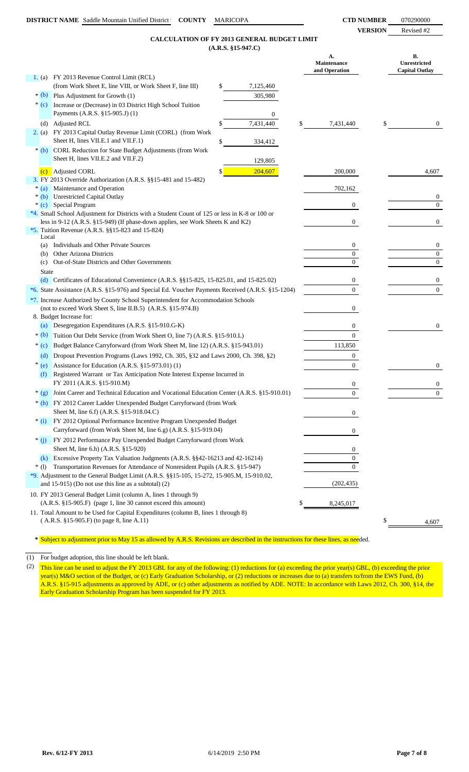**VERSION** Revised #2

## **(A.R.S. §15-947.C) CALCULATION OF FY 2013 GENERAL BUDGET LIMIT**

|          | $(A.R.S. §15-947.C)$                                                                                                    |                                    |                                             |
|----------|-------------------------------------------------------------------------------------------------------------------------|------------------------------------|---------------------------------------------|
|          |                                                                                                                         | А.<br>Maintenance<br>and Operation | В.<br>Unrestricted<br><b>Capital Outlay</b> |
|          | 1. (a) FY 2013 Revenue Control Limit (RCL)                                                                              |                                    |                                             |
|          | (from Work Sheet E, line VIII, or Work Sheet F, line III)<br>7,125,460<br>\$                                            |                                    |                                             |
|          | $*(b)$ Plus Adjustment for Growth (1)<br>305,980                                                                        |                                    |                                             |
| $*(c)$   | Increase or (Decrease) in 03 District High School Tuition<br>Payments (A.R.S. §15-905.J) (1)<br>0                       |                                    |                                             |
|          | 7,431,440<br>\$<br>(d) Adjusted RCL                                                                                     | 7,431,440                          | \$<br>$\overline{0}$                        |
| 2. (a)   | FY 2013 Capital Outlay Revenue Limit (CORL) (from Work<br>Sheet H, lines VII.E.1 and VII.F.1)<br>\$<br>334,412          |                                    |                                             |
| $*(b)$   | CORL Reduction for State Budget Adjustments (from Work<br>Sheet H, lines VII.E.2 and VII.F.2)<br>129,805                |                                    |                                             |
| (c)      | 204,607<br>Adjusted CORL<br>S                                                                                           | 200,000                            | 4,607                                       |
|          | 3. FY 2013 Override Authorization (A.R.S. §§15-481 and 15-482)                                                          |                                    |                                             |
| $*(a)$   | Maintenance and Operation                                                                                               | 702,162                            |                                             |
|          | * (b) Unrestricted Capital Outlay                                                                                       |                                    | $\boldsymbol{0}$<br>$\Omega$                |
|          | * (c) Special Program<br>*4. Small School Adjustment for Districts with a Student Count of 125 or less in K-8 or 100 or | $\boldsymbol{0}$                   |                                             |
|          | less in 9-12 (A.R.S. §15-949) (If phase-down applies, see Work Sheets K and K2)                                         | $\boldsymbol{0}$                   | $\boldsymbol{0}$                            |
|          | *5. Tuition Revenue (A.R.S. $\S$ §15-823 and 15-824)                                                                    |                                    |                                             |
|          | Local                                                                                                                   |                                    |                                             |
|          | Individuals and Other Private Sources<br>(a)                                                                            | $\bf{0}$                           | $\mathbf{0}$                                |
|          | Other Arizona Districts<br>(b)<br>Out-of-State Districts and Other Governments<br>(c)                                   | $\overline{0}$<br>$\Omega$         | $\overline{0}$<br>$\overline{0}$            |
|          | State                                                                                                                   |                                    |                                             |
|          | (d) Certificates of Educational Convenience (A.R.S. $\S$ 15-825, 15-825.01, and 15-825.02)                              | 0                                  | $\overline{0}$                              |
|          | *6. State Assistance (A.R.S. §15-976) and Special Ed. Voucher Payments Received (A.R.S. §15-1204)                       | $\overline{0}$                     | $\mathbf{0}$                                |
|          | *7. Increase Authorized by County School Superintendent for Accommodation Schools                                       |                                    |                                             |
|          | (not to exceed Work Sheet S, line II.B.5) (A.R.S. §15-974.B)                                                            | $\boldsymbol{0}$                   |                                             |
|          | 8. Budget Increase for:                                                                                                 |                                    |                                             |
|          | Desegregation Expenditures (A.R.S. §15-910.G-K)<br>(a)                                                                  | 0                                  | $\overline{0}$                              |
| $*(b)$   | Tuition Out Debt Service (from Work Sheet O, line 7) (A.R.S. §15-910.L)                                                 | $\overline{0}$                     |                                             |
| $*(c)$   | Budget Balance Carryforward (from Work Sheet M, line 12) (A.R.S. §15-943.01)                                            | 113,850                            |                                             |
|          | Dropout Prevention Programs (Laws 1992, Ch. 305, §32 and Laws 2000, Ch. 398, §2)<br>(d)                                 | $\boldsymbol{0}$                   |                                             |
| ∗<br>(e) | Assistance for Education (A.R.S. §15-973.01) (1)                                                                        | $\overline{0}$                     | $\overline{0}$                              |
| (f)      | Registered Warrant or Tax Anticipation Note Interest Expense Incurred in                                                |                                    |                                             |
|          | FY 2011 (A.R.S. §15-910.M)                                                                                              | $\boldsymbol{0}$                   | $\boldsymbol{0}$                            |
| $*(g)$   | Joint Career and Technical Education and Vocational Education Center (A.R.S. §15-910.01)                                | $\boldsymbol{0}$                   | $\overline{0}$                              |
|          | * (h) FY 2012 Career Ladder Unexpended Budget Carryforward (from Work                                                   |                                    |                                             |
|          | Sheet M, line 6.f) (A.R.S. §15-918.04.C)                                                                                | 0                                  |                                             |
| $*$ (i)  | FY 2012 Optional Performance Incentive Program Unexpended Budget                                                        |                                    |                                             |
|          | Carryforward (from Work Sheet M, line 6.g) (A.R.S. §15-919.04)                                                          | 0                                  |                                             |
| $*(j)$   | FY 2012 Performance Pay Unexpended Budget Carryforward (from Work                                                       |                                    |                                             |
|          | Sheet M, line 6.h) (A.R.S. §15-920)<br>(k) Excessive Property Tax Valuation Judgments (A.R.S. §§42-16213 and 42-16214)  | 0<br>$\Omega$                      |                                             |
| $*(1)$   | Transportation Revenues for Attendance of Nonresident Pupils (A.R.S. §15-947)                                           |                                    |                                             |
|          | *9. Adjustment to the General Budget Limit (A.R.S. §§15-105, 15-272, 15-905.M, 15-910.02,                               |                                    |                                             |
|          | and $15-915$ ) (Do not use this line as a subtotal) (2)                                                                 | (202, 435)                         |                                             |
|          | 10. FY 2013 General Budget Limit (column A, lines 1 through 9)                                                          |                                    |                                             |
|          | $(A.R.S. §15-905.F)$ (page 1, line 30 cannot exceed this amount)                                                        | 8,245,017                          |                                             |
|          | 11. Total Amount to be Used for Capital Expenditures (column B, lines 1 through 8)                                      |                                    |                                             |
|          | (A.R.S. §15-905.F) (to page 8, line A.11)                                                                               |                                    | \$<br>4,607                                 |

**\*** Subject to adjustment prior to May 15 as allowed by A.R.S. Revisions are described in the instructions for these lines, as needed.

(1) For budget adoption, this line should be left blank.

(2) This line can be used to adjust the FY 2013 GBL for any of the following: (1) reductions for (a) exceeding the prior year(s) GBL, (b) exceeding the prior year(s) M&O section of the Budget, or (c) Early Graduation Scholarship, or (2) reductions or increases due to (a) transfers to/from the EWS Fund, (b) A.R.S. §15-915 adjustments as approved by ADE, or (c) other adjustments as notified by ADE. NOTE: In accordance with Laws 2012, Ch. 300, §14, the Early Graduation Scholarship Program has been suspended for FY 2013.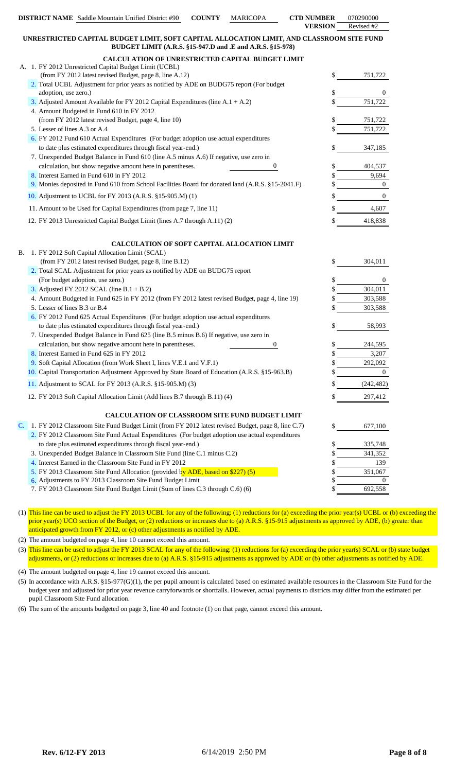|    |                               | <b>DISTRICT NAME</b> Saddle Mountain Unified District #90                                                                                                              | <b>COUNTY</b> | <b>MARICOPA</b> | <b>CTD NUMBER</b><br><b>VERSION</b> | 070290000<br>Revised #2 |
|----|-------------------------------|------------------------------------------------------------------------------------------------------------------------------------------------------------------------|---------------|-----------------|-------------------------------------|-------------------------|
|    |                               | UNRESTRICTED CAPITAL BUDGET LIMIT, SOFT CAPITAL ALLOCATION LIMIT, AND CLASSROOM SITE FUND                                                                              |               |                 |                                     |                         |
|    |                               | BUDGET LIMIT (A.R.S. §15-947.D and .E and A.R.S. §15-978)                                                                                                              |               |                 |                                     |                         |
|    |                               | CALCULATION OF UNRESTRICTED CAPITAL BUDGET LIMIT                                                                                                                       |               |                 |                                     |                         |
|    |                               | A. 1. FY 2012 Unrestricted Capital Budget Limit (UCBL)<br>(from FY 2012 latest revised Budget, page 8, line A.12)                                                      |               |                 | \$                                  | 751,722                 |
|    |                               | 2. Total UCBL Adjustment for prior years as notified by ADE on BUDG75 report (For budget                                                                               |               |                 |                                     |                         |
|    | adoption, use zero.)          |                                                                                                                                                                        |               |                 |                                     | $\theta$                |
|    |                               | 3. Adjusted Amount Available for FY 2012 Capital Expenditures (line A.1 + A.2)                                                                                         |               |                 |                                     | 751,722                 |
|    |                               | 4. Amount Budgeted in Fund 610 in FY 2012                                                                                                                              |               |                 |                                     |                         |
|    |                               | (from FY 2012 latest revised Budget, page 4, line 10)                                                                                                                  |               |                 |                                     | 751,722                 |
|    | 5. Lesser of lines A.3 or A.4 |                                                                                                                                                                        |               |                 |                                     | 751,722                 |
|    |                               | 6. FY 2012 Fund 610 Actual Expenditures (For budget adoption use actual expenditures                                                                                   |               |                 |                                     |                         |
|    |                               | to date plus estimated expenditures through fiscal year-end.)                                                                                                          |               |                 |                                     | 347,185                 |
|    |                               | 7. Unexpended Budget Balance in Fund 610 (line A.5 minus A.6) If negative, use zero in                                                                                 |               |                 |                                     |                         |
|    |                               | calculation, but show negative amount here in parentheses.                                                                                                             |               | 0               |                                     | 404,537                 |
|    |                               | 8. Interest Earned in Fund 610 in FY 2012                                                                                                                              |               |                 |                                     | 9,694                   |
|    |                               | 9. Monies deposited in Fund 610 from School Facilities Board for donated land (A.R.S. §15-2041.F)                                                                      |               |                 |                                     | $\overline{0}$          |
|    |                               | 10. Adjustment to UCBL for FY 2013 (A.R.S. §15-905.M) (1)                                                                                                              |               |                 |                                     | $\overline{0}$          |
|    |                               | 11. Amount to be Used for Capital Expenditures (from page 7, line 11)                                                                                                  |               |                 |                                     | 4,607                   |
|    |                               | 12. FY 2013 Unrestricted Capital Budget Limit (lines A.7 through A.11) (2)                                                                                             |               |                 |                                     | 418,838                 |
|    |                               | CALCULATION OF SOFT CAPITAL ALLOCATION LIMIT                                                                                                                           |               |                 |                                     |                         |
| В. |                               | 1. FY 2012 Soft Capital Allocation Limit (SCAL)                                                                                                                        |               |                 |                                     |                         |
|    |                               | (from FY 2012 latest revised Budget, page 8, line B.12)                                                                                                                |               |                 | \$                                  | 304,011                 |
|    |                               | 2. Total SCAL Adjustment for prior years as notified by ADE on BUDG75 report                                                                                           |               |                 |                                     |                         |
|    |                               | (For budget adoption, use zero.)                                                                                                                                       |               |                 | \$                                  | $\sigma$                |
|    |                               | 3. Adjusted FY 2012 SCAL (line B.1 + B.2)                                                                                                                              |               |                 |                                     | 304,011                 |
|    |                               | 4. Amount Budgeted in Fund 625 in FY 2012 (from FY 2012 latest revised Budget, page 4, line 19)                                                                        |               |                 |                                     | 303,588                 |
|    | 5. Lesser of lines B.3 or B.4 |                                                                                                                                                                        |               |                 |                                     | 303,588                 |
|    |                               | 6. FY 2012 Fund 625 Actual Expenditures (For budget adoption use actual expenditures                                                                                   |               |                 |                                     |                         |
|    |                               | to date plus estimated expenditures through fiscal year-end.)                                                                                                          |               |                 |                                     | 58,993                  |
|    |                               | 7. Unexpended Budget Balance in Fund 625 (line B.5 minus B.6) If negative, use zero in                                                                                 |               |                 |                                     |                         |
|    |                               | calculation, but show negative amount here in parentheses.                                                                                                             |               | 0               |                                     | 244,595                 |
|    |                               | 8. Interest Earned in Fund 625 in FY 2012                                                                                                                              |               |                 |                                     | 3,207                   |
|    |                               | 9. Soft Capital Allocation (from Work Sheet I, lines V.E.1 and V.F.1)<br>10. Capital Transportation Adjustment Approved by State Board of Education (A.R.S. §15-963.B) |               |                 | \$                                  | 292,092<br>$\sigma$     |
|    |                               | 11. Adjustment to SCAL for FY 2013 (A.R.S. §15-905.M) (3)                                                                                                              |               |                 |                                     | (242, 482)              |
|    |                               | 12. FY 2013 Soft Capital Allocation Limit (Add lines B.7 through B.11) (4)                                                                                             |               |                 |                                     | 297,412                 |
|    |                               |                                                                                                                                                                        |               |                 |                                     |                         |
|    |                               | CALCULATION OF CLASSROOM SITE FUND BUDGET LIMIT                                                                                                                        |               |                 |                                     |                         |
| C. |                               | 1. FY 2012 Classroom Site Fund Budget Limit (from FY 2012 latest revised Budget, page 8, line C.7)                                                                     |               |                 | \$                                  | 677,100                 |
|    |                               | 2. FY 2012 Classroom Site Fund Actual Expenditures (For budget adoption use actual expenditures                                                                        |               |                 |                                     |                         |
|    |                               | to date plus estimated expenditures through fiscal year-end.)                                                                                                          |               |                 |                                     | 335,748                 |
|    |                               | 3. Unexpended Budget Balance in Classroom Site Fund (line C.1 minus C.2)                                                                                               |               |                 |                                     | 341,352                 |
|    |                               | 4. Interest Earned in the Classroom Site Fund in FY 2012                                                                                                               |               |                 |                                     | 139                     |
|    |                               | 5. FY 2013 Classroom Site Fund Allocation (provided by ADE, based on \$227) (5)                                                                                        |               |                 |                                     | 351,067                 |
|    |                               | 6. Adjustments to FY 2013 Classroom Site Fund Budget Limit                                                                                                             |               |                 |                                     | $\overline{0}$          |

- 7. FY 2013 Classroom Site Fund Budget Limit (Sum of lines C.3 through C.6) (6) \$ 692,558
- (1) This line can be used to adjust the FY 2013 UCBL for any of the following: (1) reductions for (a) exceeding the prior year(s) UCBL or (b) exceeding the prior year(s) UCO section of the Budget, or (2) reductions or increases due to (a) A.R.S. §15-915 adjustments as approved by ADE, (b) greater than anticipated growth from FY 2012, or (c) other adjustments as notified by ADE.

(2) The amount budgeted on page 4, line 10 cannot exceed this amount.

(3) This line can be used to adjust the FY 2013 SCAL for any of the following: (1) reductions for (a) exceeding the prior year(s) SCAL or (b) state budget adjustments, or (2) reductions or increases due to (a) A.R.S. §15-915 adjustments as approved by ADE or (b) other adjustments as notified by ADE.

(4) The amount budgeted on page 4, line 19 cannot exceed this amount.

(5) In accordance with A.R.S. §15-977(G)(1), the per pupil amount is calculated based on estimated available resources in the Classroom Site Fund for the budget year and adjusted for prior year revenue carryforwards or shortfalls. However, actual payments to districts may differ from the estimated per pupil Classroom Site Fund allocation.

(6) The sum of the amounts budgeted on page 3, line 40 and footnote (1) on that page, cannot exceed this amount.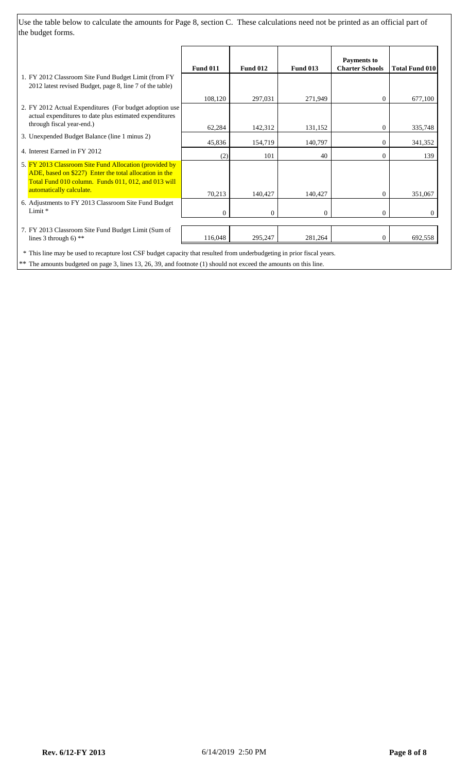Use the table below to calculate the amounts for Page 8, section C. These calculations need not be printed as an official part of the budget forms.

| <b>Fund 011</b> | <b>Fund 012</b> | <b>Fund 013</b> | <b>Payments to</b><br><b>Charter Schools</b> | <b>Total Fund 010</b> |
|-----------------|-----------------|-----------------|----------------------------------------------|-----------------------|
|                 |                 |                 |                                              |                       |
| 108,120         | 297,031         | 271,949         | $\theta$                                     | 677,100               |
|                 |                 |                 |                                              |                       |
| 62,284          | 142,312         | 131,152         | $\overline{0}$                               | 335,748               |
| 45,836          | 154,719         | 140,797         | 0                                            | 341,352               |
|                 | 101             | 40              | 0                                            | 139                   |
| 70,213          |                 |                 | $\overline{0}$                               | 351,067               |
| $\overline{0}$  | $\Omega$        | $\overline{0}$  | $\overline{0}$                               | $\Omega$              |
| 116,048         | 295,247         | 281,264         | $\overline{0}$                               | 692,558               |
|                 | (2)             | 140,427         | 140,427                                      |                       |

\*\* The amounts budgeted on page 3, lines 13, 26, 39, and footnote (1) should not exceed the amounts on this line.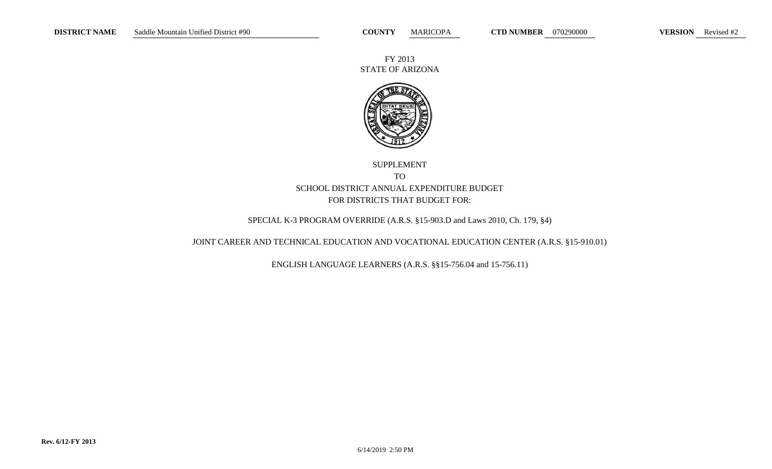FY 2013 STATE OF ARIZONA



# SUPPLEMENT TO SCHOOL DISTRICT ANNUAL EXPENDITURE BUDGET FOR DISTRICTS THAT BUDGET FOR:

## SPECIAL K-3 PROGRAM OVERRIDE (A.R.S. §15-903.D and Laws 2010, Ch. 179, §4)

## JOINT CAREER AND TECHNICAL EDUCATION AND VOCATIONAL EDUCATION CENTER (A.R.S. §15-910.01)

ENGLISH LANGUAGE LEARNERS (A.R.S. §§15-756.04 and 15-756.11)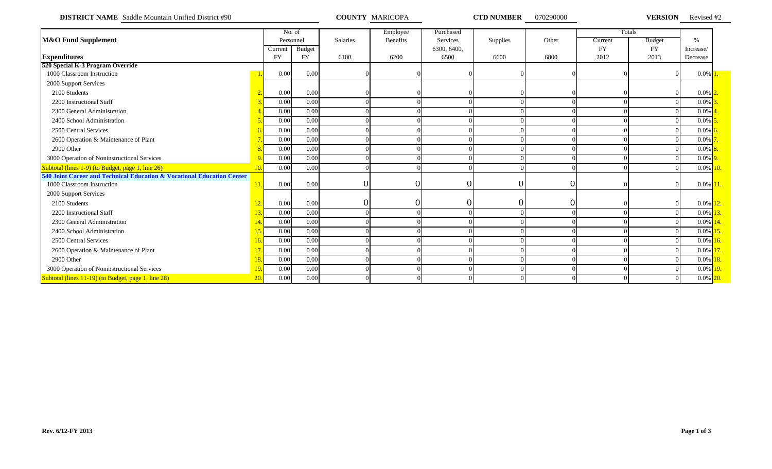**DISTRICT NAME** Saddle Mountain Unified District #90 **COUNTY MARICOPA COUNTY MARICOPA CTD NUMBER** 070290000 **VERSION** 

**VERSION** Revised #2

|                                                                        |                |           | No. of        |                 | Employee        | Purchased    |          |       |           | Totals        |             |  |
|------------------------------------------------------------------------|----------------|-----------|---------------|-----------------|-----------------|--------------|----------|-------|-----------|---------------|-------------|--|
| <b>M&amp;O Fund Supplement</b>                                         |                |           | Personnel     | <b>Salaries</b> | <b>Benefits</b> | Services     | Supplies | Other | Current   | <b>Budget</b> | $\%$        |  |
|                                                                        |                | Current   | <b>Budget</b> |                 |                 | 6300, 6400,  |          |       | <b>FY</b> | <b>FY</b>     | Increase/   |  |
| <b>Expenditures</b>                                                    |                | <b>FY</b> | <b>FY</b>     | 6100            | 6200            | 6500         | 6600     | 6800  | 2012      | 2013          | Decrease    |  |
| 520 Special K-3 Program Override                                       |                |           |               |                 |                 |              |          |       |           |               |             |  |
| 1000 Classroom Instruction                                             |                | 0.00      | 0.00          |                 |                 |              |          |       |           |               | $0.0\%$ 1.  |  |
| 2000 Support Services                                                  |                |           |               |                 |                 |              |          |       |           |               |             |  |
| 2100 Students                                                          | $\overline{2}$ | 0.00      | 0.00          |                 |                 |              |          |       |           |               | $0.0\%$ 2   |  |
| 2200 Instructional Staff                                               |                | 0.00      | 0.00          |                 |                 |              |          |       |           |               | $0.0\%$     |  |
| 2300 General Administration                                            |                | 0.00      | 0.00          |                 |                 |              |          |       |           |               | 0.0%        |  |
| 2400 School Administration                                             |                | 0.00      | 0.00          |                 |                 |              |          |       |           |               | 0.0%        |  |
| 2500 Central Services                                                  |                | 0.00      | 0.00          |                 |                 |              |          |       |           |               | $0.0\%$ 6   |  |
| 2600 Operation & Maintenance of Plant                                  |                | 0.00      | 0.00          |                 |                 |              |          |       |           |               | 0.0%        |  |
| 2900 Other                                                             |                | 0.00      | 0.00          |                 |                 |              |          |       |           |               | $0.0\%$     |  |
| 3000 Operation of Noninstructional Services                            |                | 0.00      | 0.00          |                 |                 |              |          |       |           |               | $0.0\%$ 9   |  |
| Subtotal (lines 1-9) (to Budget, page 1, line 26)                      | 10.            | 0.00      | 0.00          |                 |                 |              |          |       |           |               | $0.0\%$ 10. |  |
| 540 Joint Career and Technical Education & Vocational Education Center |                |           |               |                 |                 |              |          |       |           |               |             |  |
| 1000 Classroom Instruction                                             | 11.            | 0.00      | 0.00          |                 | 0               | <sup>O</sup> |          | 0     |           |               | $0.0\%$ 11. |  |
| 2000 Support Services                                                  |                |           |               |                 |                 |              |          |       |           |               |             |  |
| 2100 Students                                                          | 12             | 0.00      | 0.00          |                 | 0               | $\Omega$     |          | 0     |           |               | $0.0\%$ 12. |  |
| 2200 Instructional Staff                                               | 13.            | 0.00      | 0.00          |                 |                 |              |          |       |           |               | $0.0\%$     |  |
| 2300 General Administration                                            | 14.            | 0.00      | 0.00          |                 |                 |              |          |       |           |               | $0.0\%$     |  |
| 2400 School Administration                                             | 15.            | 0.00      | 0.00          |                 |                 |              |          |       |           |               | $0.0\%$     |  |
| 2500 Central Services                                                  | 16.            | 0.00      | 0.00          |                 |                 |              |          |       |           |               | $0.0\%$     |  |
| 2600 Operation & Maintenance of Plant                                  | 17.            | 0.00      | 0.00          |                 |                 |              |          |       |           |               | $0.0\%$     |  |
| 2900 Other                                                             | 18.            | 0.00      | 0.00          |                 |                 |              |          |       |           |               | $0.0\%$     |  |
| 3000 Operation of Noninstructional Services                            | 19.            | 0.00      | 0.00          |                 |                 |              |          |       |           |               | $0.0\%$ 19. |  |
| Subtotal (lines 11-19) (to Budget, page 1, line 28)                    | 20.            | 0.00      | 0.00          |                 |                 |              |          |       |           |               | $0.0\%$ 20. |  |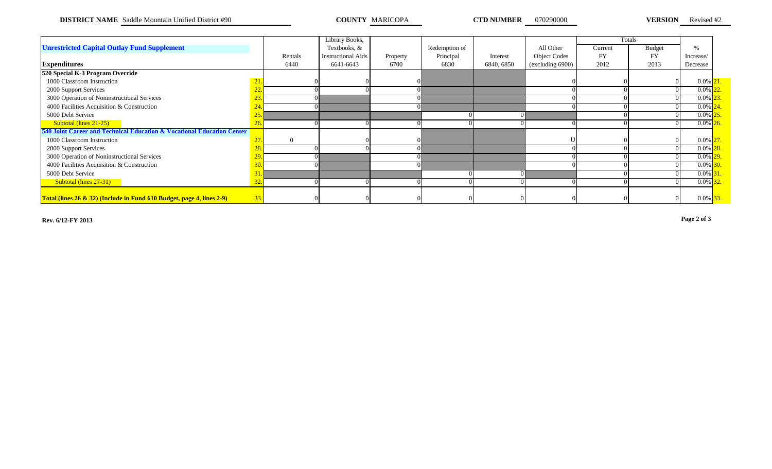**DISTRICT NAME** Saddle Mountain Unified District #90 **COUNTY MARICOPA COUNTY MARICOPA CTD NUMBER** 070290000 **VERSION** 

**VERSION** Revised #2

|                                                                        |                 |          | Library Books,            |          |               |            |                     |           | Totals        |               |  |
|------------------------------------------------------------------------|-----------------|----------|---------------------------|----------|---------------|------------|---------------------|-----------|---------------|---------------|--|
| <b>Unrestricted Capital Outlay Fund Supplement</b>                     |                 |          | Textbooks, &              |          | Redemption of |            | All Other           | Current   | <b>Budget</b> | $\frac{0}{0}$ |  |
|                                                                        |                 | Rentals  | <b>Instructional Aids</b> | Property | Principal     | Interest   | <b>Object Codes</b> | <b>FY</b> | <b>FY</b>     | Increase/     |  |
| <b>Expenditures</b>                                                    |                 | 6440     | 6641-6643                 | 6700     | 6830          | 6840, 6850 | (excluding 6900)    | 2012      | 2013          | Decrease      |  |
| 520 Special K-3 Program Override                                       |                 |          |                           |          |               |            |                     |           |               |               |  |
| 1000 Classroom Instruction                                             | $\overline{21}$ |          |                           |          |               |            |                     |           |               | $0.0\%$ 21.   |  |
| 2000 Support Services                                                  |                 |          |                           |          |               |            |                     |           |               | 0.0%          |  |
| 3000 Operation of Noninstructional Services                            |                 |          |                           |          |               |            |                     |           |               | 0.0%          |  |
| 4000 Facilities Acquisition & Construction                             |                 |          |                           |          |               |            |                     |           |               | $0.0\%$       |  |
| 5000 Debt Service                                                      | 25 <sub>1</sub> |          |                           |          |               |            |                     |           |               | 0.0%          |  |
| Subtotal (lines 21-25)                                                 | 26              |          |                           |          |               |            |                     |           |               | $0.0\%$       |  |
| 540 Joint Career and Technical Education & Vocational Education Center |                 |          |                           |          |               |            |                     |           |               |               |  |
| 1000 Classroom Instruction                                             | $\overline{2}$  | $\Omega$ |                           |          |               |            |                     |           |               | $0.0\%$ 27    |  |
| 2000 Support Services                                                  |                 |          |                           |          |               |            |                     |           |               | 0.0%          |  |
| 3000 Operation of Noninstructional Services                            |                 |          |                           |          |               |            |                     |           |               | $0.0\%$       |  |
| 4000 Facilities Acquisition & Construction                             |                 |          |                           |          |               |            |                     |           |               | 0.0%          |  |
| 5000 Debt Service                                                      |                 |          |                           |          |               |            |                     |           |               | $0.0\%$       |  |
| Subtotal (lines 27-31)                                                 |                 |          |                           |          |               |            |                     |           |               | $0.0\%$       |  |
|                                                                        |                 |          |                           |          |               |            |                     |           |               |               |  |
| Total (lines 26 & 32) (Include in Fund 610 Budget, page 4, lines 2-9)  | 33.             |          |                           |          |               |            |                     |           |               | $0.0\%$ 33.   |  |

**Rev. 6/12-FY 2013 Page 2 of 3**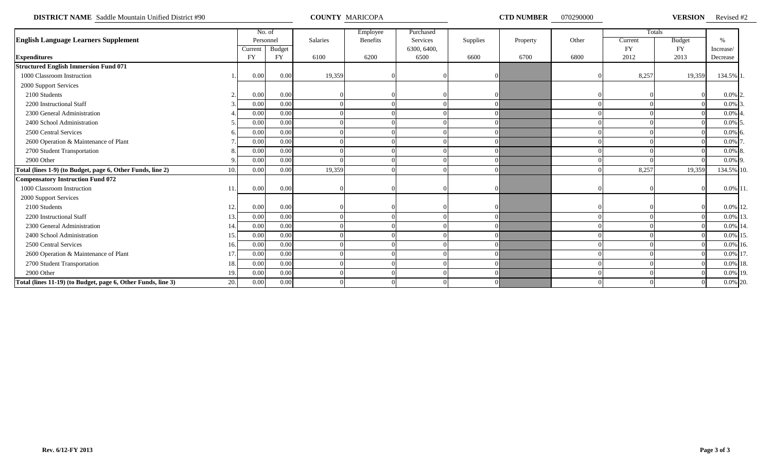**DISTRICT NAME** Saddle Mountain Unified District #90 **COUNTY MARICOPA COUNTY MARICOPA CTD NUMBER** 070290000 **VERSION** 

VERSION Revised #2

|                                                              |             | No. of        |                 | Employee        | Purchased   |          |          |       |           | Totals        |               |  |
|--------------------------------------------------------------|-------------|---------------|-----------------|-----------------|-------------|----------|----------|-------|-----------|---------------|---------------|--|
| <b>English Language Learners Supplement</b>                  |             | Personnel     | <b>Salaries</b> | <b>Benefits</b> | Services    | Supplies | Property | Other | Current   | <b>Budget</b> | $\frac{0}{6}$ |  |
|                                                              | Current     | <b>Budget</b> |                 |                 | 6300, 6400, |          |          |       | <b>FY</b> | <b>FY</b>     | Increase/     |  |
| <b>Expenditures</b>                                          | <b>FY</b>   | <b>FY</b>     | 6100            | 6200            | 6500        | 6600     | 6700     | 6800  | 2012      | 2013          | Decrease      |  |
| <b>Structured English Immersion Fund 071</b>                 |             |               |                 |                 |             |          |          |       |           |               |               |  |
| 1000 Classroom Instruction                                   | 0.00        | 0.00          | 19,359          |                 |             |          |          |       | 8,257     | 19,359        | 134.5% 1.     |  |
| 2000 Support Services                                        |             |               |                 |                 |             |          |          |       |           |               |               |  |
| 2100 Students                                                | 0.00        | 0.00          |                 |                 |             |          |          |       |           |               | $0.0\%$ 2     |  |
| 2200 Instructional Staff                                     | 0.00        | 0.00          |                 |                 |             |          |          |       |           |               | $0.0\%$ 3     |  |
| 2300 General Administration                                  | 0.00        | 0.00          |                 |                 |             |          |          |       |           |               | $0.0\%$ 4     |  |
| 2400 School Administration                                   | 0.00        | 0.00          |                 |                 |             |          |          |       |           |               | $0.0\%$ 5     |  |
| 2500 Central Services                                        | 0.00        | 0.00          |                 |                 |             |          |          |       |           |               | $0.0\%$ 6     |  |
| 2600 Operation & Maintenance of Plant                        | 0.00        | 0.00          |                 |                 |             |          |          |       |           |               | 0.0% 7        |  |
| 2700 Student Transportation                                  | 0.00        | 0.00          |                 |                 |             |          |          |       |           |               | $0.0\%$ 8.    |  |
| 2900 Other                                                   | 0.00        | 0.00          |                 |                 |             |          |          |       |           |               | $0.0\%$ 9.    |  |
| Total (lines 1-9) (to Budget, page 6, Other Funds, line 2)   | 0.00<br>10. | 0.00          | 19,359          |                 |             |          |          |       | 8,257     | 19,359        | 134.5% 10.    |  |
| <b>Compensatory Instruction Fund 072</b>                     |             |               |                 |                 |             |          |          |       |           |               |               |  |
| 1000 Classroom Instruction                                   | 0.00<br>11  | 0.00          |                 |                 |             |          |          |       |           |               | $0.0\%$ 11    |  |
| 2000 Support Services                                        |             |               |                 |                 |             |          |          |       |           |               |               |  |
| 2100 Students                                                | 0.00<br>12. | 0.00          |                 |                 |             |          |          |       |           |               | 0.0% 12.      |  |
| 2200 Instructional Staff                                     | 0.00<br>13. | 0.00          |                 |                 |             |          |          |       |           |               | 0.0% 13       |  |
| 2300 General Administration                                  | 0.00<br>14  | 0.00          |                 |                 |             |          |          |       |           |               | $0.0\%$ 14    |  |
| 2400 School Administration                                   | 0.00<br>15. | 0.00          |                 |                 |             |          |          |       |           |               | 0.0% 15       |  |
| 2500 Central Services                                        | 0.00<br>16. | 0.00          |                 |                 |             |          |          |       |           |               | 0.0% 16.      |  |
| 2600 Operation & Maintenance of Plant                        | 0.00<br>17  | 0.00          |                 |                 |             |          |          |       |           |               | 0.0% 17       |  |
| 2700 Student Transportation                                  | 0.00<br>18. | 0.00          |                 |                 |             |          |          |       |           |               | 0.0% 18.      |  |
| 2900 Other                                                   | 0.00<br>19. | 0.00          |                 |                 |             |          |          |       |           |               | 0.0% 19.      |  |
| Total (lines 11-19) (to Budget, page 6, Other Funds, line 3) | 20.<br>0.00 | 0.00          |                 |                 |             |          |          |       |           |               | 0.0% 20.      |  |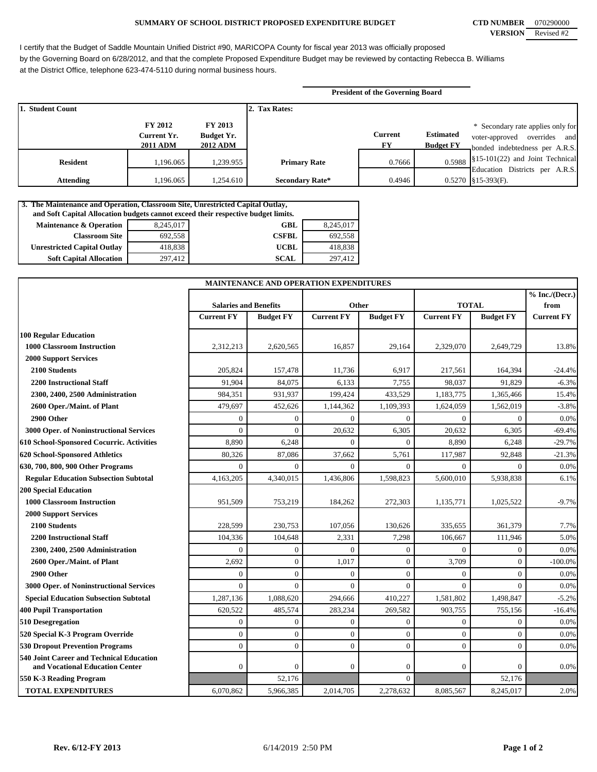### **SUMMARY OF SCHOOL DISTRICT PROPOSED EXPENDITURE BUDGET CTD NUMBER** 070290000

I certify that the Budget of Saddle Mountain Unified District #90, MARICOPA County for fiscal year 2013 was officially proposed by the Governing Board on 6/28/2012, and that the complete Proposed Expenditure Budget may be reviewed by contacting Rebecca B. Williams at the District Office, telephone 623-474-5110 during normal business hours.

|                  |                                                  |                                                        |                        | <b>President of the Governing Board</b> |                                      |                                                                                                     |
|------------------|--------------------------------------------------|--------------------------------------------------------|------------------------|-----------------------------------------|--------------------------------------|-----------------------------------------------------------------------------------------------------|
| 1. Student Count |                                                  |                                                        | 2. Tax Rates:          |                                         |                                      |                                                                                                     |
|                  | <b>FY 2012</b><br>Current Yr.<br><b>2011 ADM</b> | <b>FY 2013</b><br><b>Budget Yr.</b><br><b>2012 ADM</b> |                        | <b>Current</b><br>FY.                   | <b>Estimated</b><br><b>Budget FY</b> | * Secondary rate applies only for<br>voter-approved overrides and<br>bonded indebtedness per A.R.S. |
| <b>Resident</b>  | 1.196.065                                        | 1,239.955                                              | <b>Primary Rate</b>    | 0.7666                                  | 0.5988                               | §15-101(22) and Joint Technical<br>Education Districts per A.R.S.                                   |
| <b>Attending</b> | ,196.065                                         | 1,254.610                                              | <b>Secondary Rate*</b> | 0.4946                                  |                                      | $0.5270$ \, §15-393(F).                                                                             |

| 3. The Maintenance and Operation, Classroom Site, Unrestricted Capital Outlay,<br>and Soft Capital Allocation budgets cannot exceed their respective budget limits. |           |              |           |  |  |  |  |  |
|---------------------------------------------------------------------------------------------------------------------------------------------------------------------|-----------|--------------|-----------|--|--|--|--|--|
| <b>Maintenance &amp; Operation</b>                                                                                                                                  | 8,245,017 | <b>GBL</b>   | 8,245,017 |  |  |  |  |  |
| <b>Classroom Site</b>                                                                                                                                               | 692,558   | <b>CSFBL</b> | 692.558   |  |  |  |  |  |
| <b>Unrestricted Capital Outlay</b>                                                                                                                                  | 418,838   | <b>UCBL</b>  | 418.838   |  |  |  |  |  |
| <b>Soft Capital Allocation</b>                                                                                                                                      | 297,412   | <b>SCAL</b>  | 297.412   |  |  |  |  |  |

| MAINTENANCE AND OPERATION EXPENDITURES         |                              |                  |                   |                  |                   |                  |                          |
|------------------------------------------------|------------------------------|------------------|-------------------|------------------|-------------------|------------------|--------------------------|
|                                                | <b>Salaries and Benefits</b> |                  |                   | Other            | <b>TOTAL</b>      |                  | % Inc. / (Decr.)<br>from |
|                                                | <b>Current FY</b>            | <b>Budget FY</b> | <b>Current FY</b> | <b>Budget FY</b> | <b>Current FY</b> | <b>Budget FY</b> | <b>Current FY</b>        |
| <b>100 Regular Education</b>                   |                              |                  |                   |                  |                   |                  |                          |
| 1000 Classroom Instruction                     | 2,312,213                    | 2,620,565        | 16,857            | 29,164           | 2,329,070         | 2,649,729        | 13.8%                    |
| <b>2000 Support Services</b>                   |                              |                  |                   |                  |                   |                  |                          |
| 2100 Students                                  | 205,824                      | 157,478          | 11,736            | 6,917            | 217,561           | 164,394          | $-24.4%$                 |
| <b>2200 Instructional Staff</b>                | 91,904                       | 84,075           | 6,133             | 7,755            | 98.037            | 91.829           | $-6.3%$                  |
| 2300, 2400, 2500 Administration                | 984,351                      | 931,937          | 199,424           | 433,529          | 1,183,775         | 1,365,466        | 15.4%                    |
| 2600 Oper./Maint. of Plant                     | 479,697                      | 452,626          | 1,144,362         | 1,109,393        | 1,624,059         | 1,562,019        | $-3.8%$                  |
| 2900 Other                                     | $\Omega$                     | $\mathbf{0}$     | $\Omega$          | $\mathbf{0}$     | $\theta$          | $\overline{0}$   | 0.0%                     |
| <b>3000 Oper. of Noninstructional Services</b> | $\Omega$                     | $\mathbf{0}$     | 20,632            | 6,305            | 20,632            | 6,305            | $-69.4%$                 |
| 610 School-Sponsored Cocurric. Activities      | 8,890                        | 6,248            | $\theta$          | $\theta$         | 8,890             | 6,248            | $-29.7%$                 |
| 620 School-Sponsored Athletics                 | 80,326                       | 87,086           | 37,662            | 5,761            | 117,987           | 92,848           | $-21.3%$                 |
| 630, 700, 800, 900 Other Programs              | $\theta$                     | $\Omega$         | $\Omega$          | $\Omega$         | $\theta$          | $\Omega$         | 0.0%                     |
| <b>Regular Education Subsection Subtotal</b>   | 4,163,205                    | 4,340,015        | 1,436,806         | 1,598,823        | 5,600,010         | 5,938,838        | 6.1%                     |
| <b>200 Special Education</b>                   |                              |                  |                   |                  |                   |                  |                          |
| <b>1000 Classroom Instruction</b>              | 951,509                      | 753,219          | 184,262           | 272,303          | 1,135,771         | 1,025,522        | $-9.7%$                  |
| <b>2000 Support Services</b>                   |                              |                  |                   |                  |                   |                  |                          |
| 2100 Students                                  | 228,599                      | 230,753          | 107,056           | 130,626          | 335,655           | 361,379          | 7.7%                     |
| <b>2200 Instructional Staff</b>                | 104.336                      | 104,648          | 2,331             | 7,298            | 106,667           | 111,946          | 5.0%                     |
| 2300, 2400, 2500 Administration                | $\Omega$                     | $\mathbf{0}$     | $\theta$          | $\overline{0}$   | $\theta$          | $\overline{0}$   | 0.0%                     |
| 2600 Oper./Maint. of Plant                     | 2,692                        | $\mathbf{0}$     | 1,017             | $\overline{0}$   | 3,709             | $\mathbf{0}$     | $-100.0%$                |
| 2900 Other                                     | $\theta$                     | $\mathbf{0}$     | $\overline{0}$    | $\overline{0}$   | $\theta$          | $\mathbf{0}$     | 0.0%                     |
| 3000 Oper. of Noninstructional Services        | $\theta$                     | $\Omega$         | $\Omega$          | $\overline{0}$   | $\theta$          | $\Omega$         | 0.0%                     |
| <b>Special Education Subsection Subtotal</b>   | 1,287,136                    | 1,088,620        | 294,666           | 410,227          | 1,581,802         | 1,498,847        | $-5.2%$                  |
| <b>400 Pupil Transportation</b>                | 620,522                      | 485,574          | 283,234           | 269,582          | 903,755           | 755,156          | $-16.4%$                 |
| 510 Desegregation                              | $\theta$                     | $\mathbf{0}$     | $\mathbf{0}$      | $\overline{0}$   | $\theta$          | $\overline{0}$   | 0.0%                     |
| 520 Special K-3 Program Override               | $\theta$                     | $\mathbf{0}$     | $\mathbf{0}$      | $\overline{0}$   | $\overline{0}$    | $\overline{0}$   | 0.0%                     |
| <b>530 Dropout Prevention Programs</b>         | $\Omega$                     | $\Omega$         | $\mathbf{0}$      | $\Omega$         | $\theta$          | $\theta$         | 0.0%                     |
| 540 Joint Career and Technical Education       |                              |                  |                   |                  |                   |                  |                          |
| and Vocational Education Center                | $\mathbf{0}$                 | $\boldsymbol{0}$ | $\boldsymbol{0}$  | $\boldsymbol{0}$ | $\mathbf{0}$      | $\boldsymbol{0}$ | 0.0%                     |
| 550 K-3 Reading Program                        |                              | 52,176           |                   | $\Omega$         |                   | 52,176           |                          |
| <b>TOTAL EXPENDITURES</b>                      | 6,070,862                    | 5,966,385        | 2,014,705         | 2,278,632        | 8,085,567         | 8,245,017        | 2.0%                     |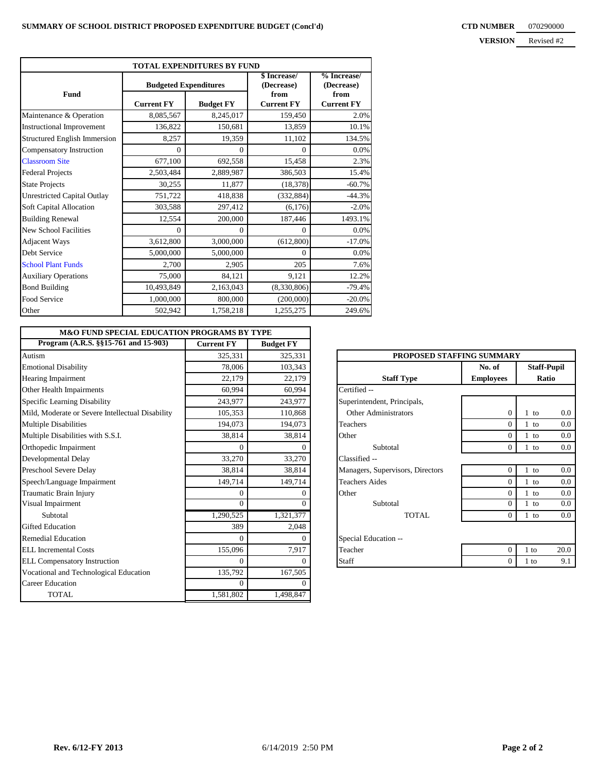| TOTAL EXPENDITURES BY FUND         |                              |                  |                           |                           |  |  |  |  |
|------------------------------------|------------------------------|------------------|---------------------------|---------------------------|--|--|--|--|
|                                    | <b>Budgeted Expenditures</b> |                  | \$Increase/<br>(Decrease) | % Increase/<br>(Decrease) |  |  |  |  |
| <b>Fund</b>                        | <b>Current FY</b>            | <b>Budget FY</b> | from<br><b>Current FY</b> | from<br><b>Current FY</b> |  |  |  |  |
| Maintenance & Operation            | 8,085,567                    | 8,245,017        | 159,450                   | 2.0%                      |  |  |  |  |
| <b>Instructional Improvement</b>   | 136,822                      | 150,681          | 13,859                    | 10.1%                     |  |  |  |  |
| Structured English Immersion       | 8,257                        | 19,359           | 11,102                    | 134.5%                    |  |  |  |  |
| Compensatory Instruction           | $\Omega$                     | $\Omega$         | $\Omega$                  | 0.0%                      |  |  |  |  |
| <b>Classroom Site</b>              | 677,100                      | 692,558          | 15,458                    | 2.3%                      |  |  |  |  |
| <b>Federal Projects</b>            | 2,503,484                    | 2,889,987        | 386,503                   | 15.4%                     |  |  |  |  |
| <b>State Projects</b>              | 30,255                       | 11,877           | (18, 378)                 | $-60.7%$                  |  |  |  |  |
| <b>Unrestricted Capital Outlay</b> | 751,722                      | 418,838          | (332, 884)                | $-44.3%$                  |  |  |  |  |
| Soft Capital Allocation            | 303,588                      | 297,412          | (6,176)                   | $-2.0%$                   |  |  |  |  |
| <b>Building Renewal</b>            | 12,554                       | 200,000          | 187,446                   | 1493.1%                   |  |  |  |  |
| <b>New School Facilities</b>       | $\Omega$                     | $\Omega$         | $\Omega$                  | 0.0%                      |  |  |  |  |
| <b>Adjacent Ways</b>               | 3,612,800                    | 3,000,000        | (612,800)                 | $-17.0%$                  |  |  |  |  |
| Debt Service                       | 5,000,000                    | 5,000,000        | $\Omega$                  | 0.0%                      |  |  |  |  |
| <b>School Plant Funds</b>          | 2,700                        | 2,905            | 205                       | 7.6%                      |  |  |  |  |
| <b>Auxiliary Operations</b>        | 75,000                       | 84,121           | 9,121                     | 12.2%                     |  |  |  |  |
| <b>Bond Building</b>               | 10,493,849                   | 2,163,043        | (8,330,806)               | $-79.4%$                  |  |  |  |  |
| Food Service                       | 1,000,000                    | 800,000          | (200,000)                 | $-20.0\%$                 |  |  |  |  |
| Other                              | 502,942                      | 1,758,218        | 1,255,275                 | 249.6%                    |  |  |  |  |

| <b>M&amp;O FUND SPECIAL EDUCATION PROGRAMS BY TYPE</b> |                   |                  |                                  |                  |        |                    |
|--------------------------------------------------------|-------------------|------------------|----------------------------------|------------------|--------|--------------------|
| Program (A.R.S. §§15-761 and 15-903)                   | <b>Current FY</b> | <b>Budget FY</b> |                                  |                  |        |                    |
| Autism                                                 | 325,331           | 325,331          | PROPOSED STAFFING SUMMARY        |                  |        |                    |
| <b>Emotional Disability</b>                            | 78,006            | 103,343          |                                  | No. of           |        | <b>Staff-Pupil</b> |
| <b>Hearing Impairment</b>                              | 22,179            | 22,179           | <b>Staff Type</b>                | <b>Employees</b> | Ratio  |                    |
| Other Health Impairments                               | 60.994            | 60.994           | Certified --                     |                  |        |                    |
| Specific Learning Disability                           | 243,977           | 243,977          | Superintendent, Principals,      |                  |        |                    |
| Mild, Moderate or Severe Intellectual Disability       | 105,353           | 110,868          | Other Administrators             | $\overline{0}$   | $1$ to | 0.0                |
| <b>Multiple Disabilities</b>                           | 194,073           | 194,073          | Teachers                         | $\overline{0}$   | $1$ to | 0.0                |
| Multiple Disabilities with S.S.I.                      | 38,814            | 38,814           | Other                            | $\overline{0}$   | $1$ to | 0.0                |
| Orthopedic Impairment                                  | $\Omega$          |                  | Subtotal                         | $\overline{0}$   | $1$ to | 0.0                |
| Developmental Delay                                    | 33,270            | 33,270           | Classified --                    |                  |        |                    |
| Preschool Severe Delay                                 | 38.814            | 38,814           | Managers, Supervisors, Directors | $\overline{0}$   | $1$ to | 0.0                |
| Speech/Language Impairment                             | 149,714           | 149,714          | <b>Teachers Aides</b>            | $\Omega$         | 1 to   | 0.0                |
| Traumatic Brain Injury                                 | $\Omega$          |                  | Other                            | $\theta$         | $1$ to | 0.0                |
| Visual Impairment                                      | $\Omega$          |                  | Subtotal                         | $\theta$         | 1 to   | 0.0                |
| Subtotal                                               | 1,290,525         | 1,321,377        | <b>TOTAL</b>                     | $\overline{0}$   | $1$ to | 0.0                |
| <b>Gifted Education</b>                                | 389               | 2,048            |                                  |                  |        |                    |
| <b>Remedial Education</b>                              | $\Omega$          | $\Omega$         | Special Education --             |                  |        |                    |
| <b>ELL Incremental Costs</b>                           | 155,096           | 7,917            | Teacher                          | $\theta$         | $1$ to | 20.0               |
| <b>ELL Compensatory Instruction</b>                    | $\Omega$          | ∩                | Staff                            | $\overline{0}$   | $1$ to | 9.1                |
| Vocational and Technological Education                 | 135,792           | 167,505          |                                  |                  |        |                    |
| <b>Career Education</b>                                | $\Omega$          |                  |                                  |                  |        |                    |
| <b>TOTAL</b>                                           | 1,581,802         | 1,498,847        |                                  |                  |        |                    |

| PROPOSED STAFFING SUMMARY        |                              |               |  |  |  |  |
|----------------------------------|------------------------------|---------------|--|--|--|--|
|                                  | No. of<br><b>Staff-Pupil</b> |               |  |  |  |  |
| <b>Staff Type</b>                | <b>Employees</b>             | Ratio         |  |  |  |  |
| Certified --                     |                              |               |  |  |  |  |
| Superintendent, Principals,      |                              |               |  |  |  |  |
| <b>Other Administrators</b>      | $\theta$                     | 0.0<br>$1$ to |  |  |  |  |
| Teachers                         | $\Omega$                     | 0.0<br>1 to   |  |  |  |  |
| Other                            | $\theta$                     | 0.0<br>$1$ to |  |  |  |  |
| Subtotal                         | $\theta$                     | $1$ to<br>0.0 |  |  |  |  |
| Classified --                    |                              |               |  |  |  |  |
| Managers, Supervisors, Directors | $\theta$                     | 0.0<br>$1$ to |  |  |  |  |
| <b>Teachers Aides</b>            | $\theta$                     | 0.0<br>$1$ to |  |  |  |  |
| Other                            | $\theta$                     | 0.0<br>$1$ to |  |  |  |  |
| Subtotal                         | $\Omega$                     | 0.0<br>$1$ to |  |  |  |  |
| TOTAL                            | 0                            | $1$ to<br>0.0 |  |  |  |  |
| Special Education --             |                              |               |  |  |  |  |
| Teacher                          | $\theta$                     | 1 to<br>20.0  |  |  |  |  |
| Staff                            | $\theta$                     | $1$ to<br>9.1 |  |  |  |  |